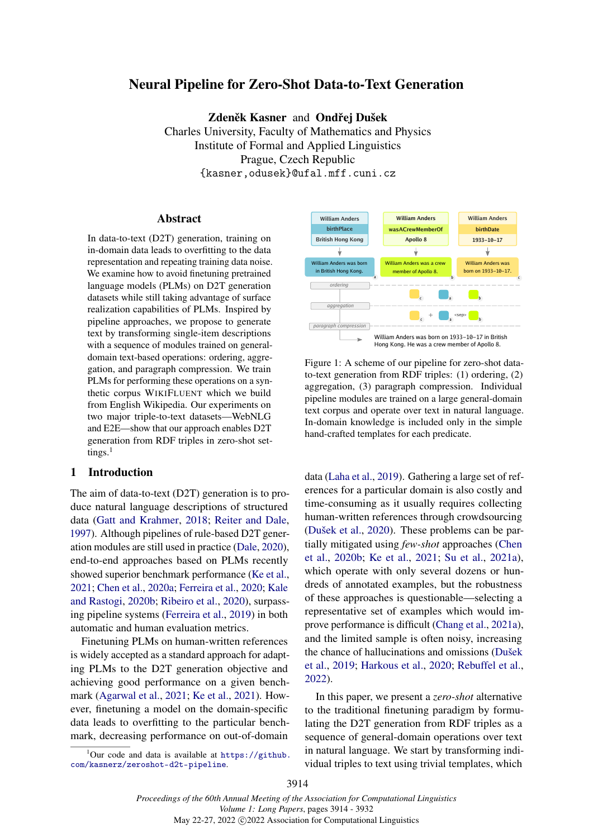# Neural Pipeline for Zero-Shot Data-to-Text Generation

Zdeněk Kasner and Ondřej Dušek

Charles University, Faculty of Mathematics and Physics Institute of Formal and Applied Linguistics Prague, Czech Republic {kasner,odusek}@ufal.mff.cuni.cz

#### Abstract

<span id="page-0-0"></span>In data-to-text (D2T) generation, training on in-domain data leads to overfitting to the data representation and repeating training data noise. We examine how to avoid finetuning pretrained language models (PLMs) on D2T generation datasets while still taking advantage of surface realization capabilities of PLMs. Inspired by pipeline approaches, we propose to generate text by transforming single-item descriptions with a sequence of modules trained on generaldomain text-based operations: ordering, aggregation, and paragraph compression. We train PLMs for performing these operations on a synthetic corpus WIKIFLUENT which we build from English Wikipedia. Our experiments on two major triple-to-text datasets—WebNLG and E2E—show that our approach enables D2T generation from RDF triples in zero-shot settings. $<sup>1</sup>$ </sup>

# 1 Introduction

The aim of data-to-text (D2T) generation is to produce natural language descriptions of structured data [\(Gatt and Krahmer,](#page-10-0) [2018;](#page-10-0) [Reiter and Dale,](#page-12-0) [1997\)](#page-12-0). Although pipelines of rule-based D2T generation modules are still used in practice [\(Dale,](#page-10-1) [2020\)](#page-10-1), end-to-end approaches based on PLMs recently showed superior benchmark performance [\(Ke et al.,](#page-11-0) [2021;](#page-11-0) [Chen et al.,](#page-10-2) [2020a;](#page-10-2) [Ferreira et al.,](#page-10-3) [2020;](#page-10-3) [Kale](#page-11-1) [and Rastogi,](#page-11-1) [2020b;](#page-11-1) [Ribeiro et al.,](#page-12-1) [2020\)](#page-12-1), surpassing pipeline systems [\(Ferreira et al.,](#page-10-4) [2019\)](#page-10-4) in both automatic and human evaluation metrics.

Finetuning PLMs on human-written references is widely accepted as a standard approach for adapting PLMs to the D2T generation objective and achieving good performance on a given benchmark [\(Agarwal et al.,](#page-9-0) [2021;](#page-9-0) [Ke et al.,](#page-11-0) [2021\)](#page-11-0). However, finetuning a model on the domain-specific data leads to overfitting to the particular benchmark, decreasing performance on out-of-domain



<span id="page-0-1"></span>

Figure 1: A scheme of our pipeline for zero-shot datato-text generation from RDF triples: (1) ordering, (2) aggregation, (3) paragraph compression. Individual pipeline modules are trained on a large general-domain text corpus and operate over text in natural language. In-domain knowledge is included only in the simple hand-crafted templates for each predicate.

data [\(Laha et al.,](#page-11-2) [2019\)](#page-11-2). Gathering a large set of references for a particular domain is also costly and time-consuming as it usually requires collecting human-written references through crowdsourcing [\(Dušek et al.,](#page-10-5) [2020\)](#page-10-5). These problems can be partially mitigated using *few-shot* approaches [\(Chen](#page-10-6) [et al.,](#page-10-6) [2020b;](#page-10-6) [Ke et al.,](#page-11-0) [2021;](#page-11-0) [Su et al.,](#page-12-2) [2021a\)](#page-12-2), which operate with only several dozens or hundreds of annotated examples, but the robustness of these approaches is questionable—selecting a representative set of examples which would improve performance is difficult [\(Chang et al.,](#page-10-7) [2021a\)](#page-10-7), and the limited sample is often noisy, increasing the chance of hallucinations and omissions [\(Dušek](#page-10-8) [et al.,](#page-10-8) [2019;](#page-10-8) [Harkous et al.,](#page-11-3) [2020;](#page-11-3) [Rebuffel et al.,](#page-12-3) [2022\)](#page-12-3).

In this paper, we present a *zero-shot* alternative to the traditional finetuning paradigm by formulating the D2T generation from RDF triples as a sequence of general-domain operations over text in natural language. We start by transforming individual triples to text using trivial templates, which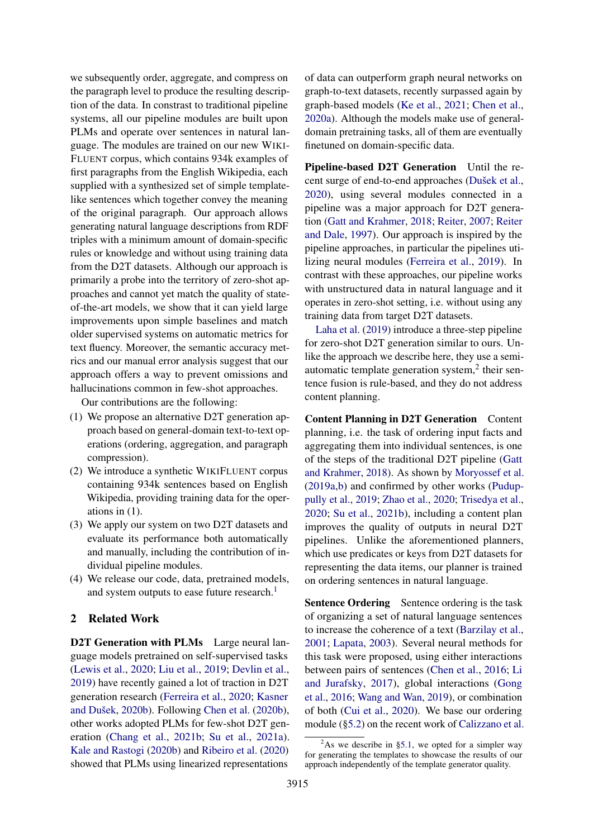we subsequently order, aggregate, and compress on the paragraph level to produce the resulting description of the data. In constrast to traditional pipeline systems, all our pipeline modules are built upon PLMs and operate over sentences in natural language. The modules are trained on our new WIKI-FLUENT corpus, which contains 934k examples of first paragraphs from the English Wikipedia, each supplied with a synthesized set of simple templatelike sentences which together convey the meaning of the original paragraph. Our approach allows generating natural language descriptions from RDF triples with a minimum amount of domain-specific rules or knowledge and without using training data from the D2T datasets. Although our approach is primarily a probe into the territory of zero-shot approaches and cannot yet match the quality of stateof-the-art models, we show that it can yield large improvements upon simple baselines and match older supervised systems on automatic metrics for text fluency. Moreover, the semantic accuracy metrics and our manual error analysis suggest that our approach offers a way to prevent omissions and hallucinations common in few-shot approaches.

Our contributions are the following:

- (1) We propose an alternative D2T generation approach based on general-domain text-to-text operations (ordering, aggregation, and paragraph compression).
- (2) We introduce a synthetic WIKIFLUENT corpus containing 934k sentences based on English Wikipedia, providing training data for the operations in (1).
- (3) We apply our system on two D2T datasets and evaluate its performance both automatically and manually, including the contribution of individual pipeline modules.
- (4) We release our code, data, pretrained models, and system outputs to ease future research.<sup>[1](#page-0-0)</sup>

# 2 Related Work

D2T Generation with PLMs Large neural language models pretrained on self-supervised tasks [\(Lewis et al.,](#page-11-4) [2020;](#page-11-4) [Liu et al.,](#page-12-4) [2019;](#page-12-4) [Devlin et al.,](#page-10-9) [2019\)](#page-10-9) have recently gained a lot of traction in D2T generation research [\(Ferreira et al.,](#page-10-3) [2020;](#page-10-3) [Kasner](#page-11-5) [and Dušek,](#page-11-5) [2020b\)](#page-11-5). Following [Chen et al.](#page-10-6) [\(2020b\)](#page-10-6), other works adopted PLMs for few-shot D2T generation [\(Chang et al.,](#page-10-10) [2021b;](#page-10-10) [Su et al.,](#page-12-2) [2021a\)](#page-12-2). [Kale and Rastogi](#page-11-1) [\(2020b\)](#page-11-1) and [Ribeiro et al.](#page-12-1) [\(2020\)](#page-12-1) showed that PLMs using linearized representations

of data can outperform graph neural networks on graph-to-text datasets, recently surpassed again by graph-based models [\(Ke et al.,](#page-11-0) [2021;](#page-11-0) [Chen et al.,](#page-10-2) [2020a\)](#page-10-2). Although the models make use of generaldomain pretraining tasks, all of them are eventually finetuned on domain-specific data.

Pipeline-based D2T Generation Until the recent surge of end-to-end approaches [\(Dušek et al.,](#page-10-5) [2020\)](#page-10-5), using several modules connected in a pipeline was a major approach for D2T generation [\(Gatt and Krahmer,](#page-10-0) [2018;](#page-10-0) [Reiter,](#page-12-5) [2007;](#page-12-5) [Reiter](#page-12-0) [and Dale,](#page-12-0) [1997\)](#page-12-0). Our approach is inspired by the pipeline approaches, in particular the pipelines utilizing neural modules [\(Ferreira et al.,](#page-10-4) [2019\)](#page-10-4). In contrast with these approaches, our pipeline works with unstructured data in natural language and it operates in zero-shot setting, i.e. without using any training data from target D2T datasets.

[Laha et al.](#page-11-2) [\(2019\)](#page-11-2) introduce a three-step pipeline for zero-shot D2T generation similar to ours. Unlike the approach we describe here, they use a semiautomatic template generation system,<sup>2</sup> their sentence fusion is rule-based, and they do not address content planning.

Content Planning in D2T Generation Content planning, i.e. the task of ordering input facts and aggregating them into individual sentences, is one of the steps of the traditional D2T pipeline [\(Gatt](#page-10-0) [and Krahmer,](#page-10-0) [2018\)](#page-10-0). As shown by [Moryossef et al.](#page-12-6) [\(2019a](#page-12-6)[,b\)](#page-12-7) and confirmed by other works [\(Pudup](#page-12-8)[pully et al.,](#page-12-8) [2019;](#page-12-8) [Zhao et al.,](#page-13-0) [2020;](#page-13-0) [Trisedya et al.,](#page-13-1) [2020;](#page-13-1) [Su et al.,](#page-12-9) [2021b\)](#page-12-9), including a content plan improves the quality of outputs in neural D2T pipelines. Unlike the aforementioned planners, which use predicates or keys from D2T datasets for representing the data items, our planner is trained on ordering sentences in natural language.

Sentence Ordering Sentence ordering is the task of organizing a set of natural language sentences to increase the coherence of a text [\(Barzilay et al.,](#page-9-1) [2001;](#page-9-1) [Lapata,](#page-11-6) [2003\)](#page-11-6). Several neural methods for this task were proposed, using either interactions between pairs of sentences [\(Chen et al.,](#page-10-11) [2016;](#page-10-11) [Li](#page-11-7) [and Jurafsky,](#page-11-7) [2017\)](#page-11-7), global interactions [\(Gong](#page-11-8) [et al.,](#page-11-8) [2016;](#page-11-8) [Wang and Wan,](#page-13-2) [2019\)](#page-13-2), or combination of both [\(Cui et al.,](#page-10-12) [2020\)](#page-10-12). We base our ordering module ([§5.2\)](#page-4-0) on the recent work of [Calizzano et al.](#page-9-2)

<sup>&</sup>lt;sup>2</sup>As we describe in [§5.1,](#page-4-1) we opted for a simpler way for generating the templates to showcase the results of our approach independently of the template generator quality.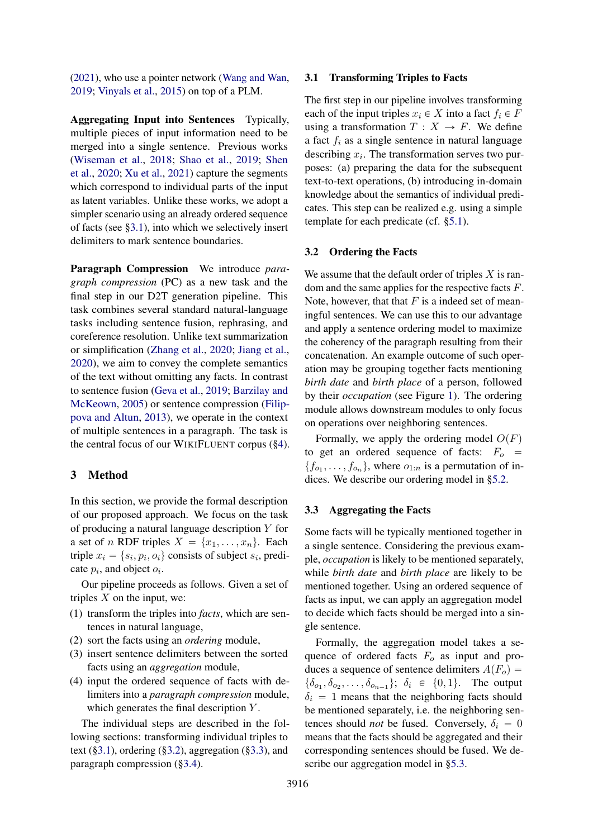[\(2021\)](#page-9-2), who use a pointer network [\(Wang and Wan,](#page-13-2) [2019;](#page-13-2) [Vinyals et al.,](#page-13-3) [2015\)](#page-13-3) on top of a PLM.

Aggregating Input into Sentences Typically, multiple pieces of input information need to be merged into a single sentence. Previous works [\(Wiseman et al.,](#page-13-4) [2018;](#page-13-4) [Shao et al.,](#page-12-10) [2019;](#page-12-10) [Shen](#page-12-11) [et al.,](#page-12-11) [2020;](#page-12-11) [Xu et al.,](#page-13-5) [2021\)](#page-13-5) capture the segments which correspond to individual parts of the input as latent variables. Unlike these works, we adopt a simpler scenario using an already ordered sequence of facts (see [§3.1\)](#page-2-0), into which we selectively insert delimiters to mark sentence boundaries.

Paragraph Compression We introduce *paragraph compression* (PC) as a new task and the final step in our D2T generation pipeline. This task combines several standard natural-language tasks including sentence fusion, rephrasing, and coreference resolution. Unlike text summarization or simplification [\(Zhang et al.,](#page-13-6) [2020;](#page-13-6) [Jiang et al.,](#page-11-9) [2020\)](#page-11-9), we aim to convey the complete semantics of the text without omitting any facts. In contrast to sentence fusion [\(Geva et al.,](#page-11-10) [2019;](#page-11-10) [Barzilay and](#page-9-3) [McKeown,](#page-9-3) [2005\)](#page-9-3) or sentence compression [\(Filip](#page-10-13)[pova and Altun,](#page-10-13) [2013\)](#page-10-13), we operate in the context of multiple sentences in a paragraph. The task is the central focus of our WIKIFLUENT corpus ([§4\)](#page-3-0).

# <span id="page-2-3"></span>3 Method

In this section, we provide the formal description of our proposed approach. We focus on the task of producing a natural language description Y for a set of n RDF triples  $X = \{x_1, \ldots, x_n\}$ . Each triple  $x_i = \{s_i, p_i, o_i\}$  consists of subject  $s_i$ , predicate  $p_i$ , and object  $o_i$ .

Our pipeline proceeds as follows. Given a set of triples  $X$  on the input, we:

- (1) transform the triples into *facts*, which are sentences in natural language,
- (2) sort the facts using an *ordering* module,
- (3) insert sentence delimiters between the sorted facts using an *aggregation* module,
- (4) input the ordered sequence of facts with delimiters into a *paragraph compression* module, which generates the final description Y.

The individual steps are described in the following sections: transforming individual triples to text  $(\S3.1)$ , ordering  $(\S3.2)$ , aggregation  $(\S3.3)$ , and paragraph compression ([§3.4\)](#page-3-1).

#### <span id="page-2-0"></span>3.1 Transforming Triples to Facts

The first step in our pipeline involves transforming each of the input triples  $x_i \in X$  into a fact  $f_i \in F$ using a transformation  $T : X \rightarrow F$ . We define a fact  $f_i$  as a single sentence in natural language describing  $x_i$ . The transformation serves two purposes: (a) preparing the data for the subsequent text-to-text operations, (b) introducing in-domain knowledge about the semantics of individual predicates. This step can be realized e.g. using a simple template for each predicate (cf. [§5.1\)](#page-4-1).

#### <span id="page-2-1"></span>3.2 Ordering the Facts

We assume that the default order of triples  $X$  is random and the same applies for the respective facts F. Note, however, that that  $F$  is a indeed set of meaningful sentences. We can use this to our advantage and apply a sentence ordering model to maximize the coherency of the paragraph resulting from their concatenation. An example outcome of such operation may be grouping together facts mentioning *birth date* and *birth place* of a person, followed by their *occupation* (see Figure [1\)](#page-0-1). The ordering module allows downstream modules to only focus on operations over neighboring sentences.

Formally, we apply the ordering model  $O(F)$ to get an ordered sequence of facts:  $F_o$  =  $\{f_{o_1}, \ldots, f_{o_n}\}\$ , where  $o_{1:n}$  is a permutation of indices. We describe our ordering model in [§5.2.](#page-4-0)

## <span id="page-2-2"></span>3.3 Aggregating the Facts

Some facts will be typically mentioned together in a single sentence. Considering the previous example, *occupation* is likely to be mentioned separately, while *birth date* and *birth place* are likely to be mentioned together. Using an ordered sequence of facts as input, we can apply an aggregation model to decide which facts should be merged into a single sentence.

Formally, the aggregation model takes a sequence of ordered facts  $F<sub>o</sub>$  as input and produces a sequence of sentence delimiters  $A(F_o)$  =  $\{\delta_{o_1}, \delta_{o_2}, \ldots, \delta_{o_{n-1}}\}; \delta_i \in \{0, 1\}.$  The output  $\delta_i = 1$  means that the neighboring facts should be mentioned separately, i.e. the neighboring sentences should *not* be fused. Conversely,  $\delta_i = 0$ means that the facts should be aggregated and their corresponding sentences should be fused. We describe our aggregation model in [§5.3.](#page-5-0)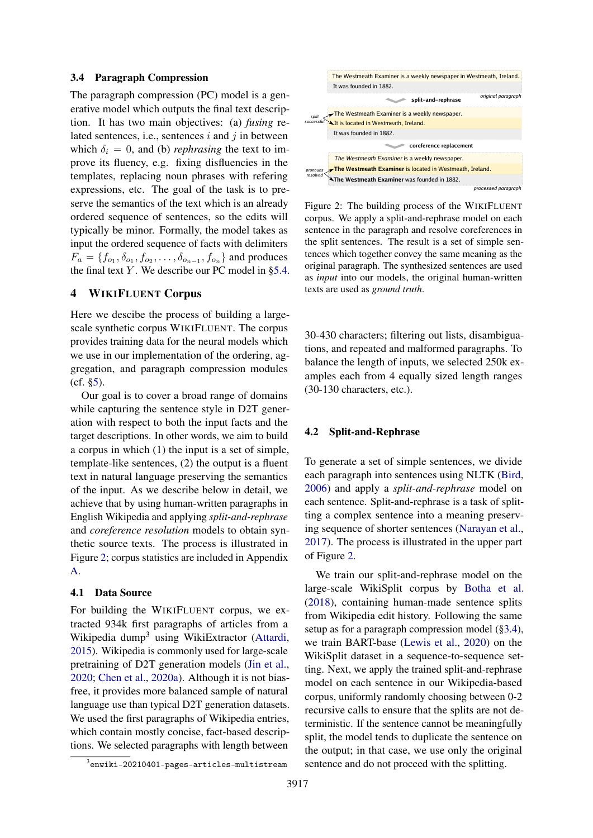#### <span id="page-3-1"></span>3.4 Paragraph Compression

The paragraph compression (PC) model is a generative model which outputs the final text description. It has two main objectives: (a) *fusing* related sentences, i.e., sentences  $i$  and  $j$  in between which  $\delta_i = 0$ , and (b) *rephrasing* the text to improve its fluency, e.g. fixing disfluencies in the templates, replacing noun phrases with refering expressions, etc. The goal of the task is to preserve the semantics of the text which is an already ordered sequence of sentences, so the edits will typically be minor. Formally, the model takes as input the ordered sequence of facts with delimiters  $F_a = \{f_{o_1}, \delta_{o_1}, f_{o_2}, \ldots, \delta_{o_{n-1}}, f_{o_n}\}\$  and produces the final text Y. We describe our PC model in  $\S 5.4$ .

# <span id="page-3-0"></span>4 WIKIFLUENT Corpus

Here we descibe the process of building a largescale synthetic corpus WIKIFLUENT. The corpus provides training data for the neural models which we use in our implementation of the ordering, aggregation, and paragraph compression modules (cf. [§5\)](#page-4-2).

Our goal is to cover a broad range of domains while capturing the sentence style in D2T generation with respect to both the input facts and the target descriptions. In other words, we aim to build a corpus in which (1) the input is a set of simple, template-like sentences, (2) the output is a fluent text in natural language preserving the semantics of the input. As we describe below in detail, we achieve that by using human-written paragraphs in English Wikipedia and applying *split-and-rephrase* and *coreference resolution* models to obtain synthetic source texts. The process is illustrated in Figure [2;](#page-3-2) corpus statistics are included in Appendix [A.](#page-13-7)

# 4.1 Data Source

For building the WIKIFLUENT corpus, we extracted 934k first paragraphs of articles from a Wikipedia dump<sup>3</sup> using WikiExtractor [\(Attardi,](#page-9-4) [2015\)](#page-9-4). Wikipedia is commonly used for large-scale pretraining of D2T generation models [\(Jin et al.,](#page-11-11) [2020;](#page-11-11) [Chen et al.,](#page-10-2) [2020a\)](#page-10-2). Although it is not biasfree, it provides more balanced sample of natural language use than typical D2T generation datasets. We used the first paragraphs of Wikipedia entries, which contain mostly concise, fact-based descriptions. We selected paragraphs with length between



<span id="page-3-2"></span>

Figure 2: The building process of the WIKIFLUENT corpus. We apply a split-and-rephrase model on each sentence in the paragraph and resolve coreferences in the split sentences. The result is a set of simple sentences which together convey the same meaning as the original paragraph. The synthesized sentences are used as *input* into our models, the original human-written texts are used as *ground truth*.

30-430 characters; filtering out lists, disambiguations, and repeated and malformed paragraphs. To balance the length of inputs, we selected 250k examples each from 4 equally sized length ranges (30-130 characters, etc.).

#### 4.2 Split-and-Rephrase

To generate a set of simple sentences, we divide each paragraph into sentences using NLTK [\(Bird,](#page-9-5) [2006\)](#page-9-5) and apply a *split-and-rephrase* model on each sentence. Split-and-rephrase is a task of splitting a complex sentence into a meaning preserving sequence of shorter sentences [\(Narayan et al.,](#page-12-12) [2017\)](#page-12-12). The process is illustrated in the upper part of Figure [2.](#page-3-2)

We train our split-and-rephrase model on the large-scale WikiSplit corpus by [Botha et al.](#page-9-6) [\(2018\)](#page-9-6), containing human-made sentence splits from Wikipedia edit history. Following the same setup as for a paragraph compression model ([§3.4\)](#page-3-1), we train BART-base [\(Lewis et al.,](#page-11-4) [2020\)](#page-11-4) on the WikiSplit dataset in a sequence-to-sequence setting. Next, we apply the trained split-and-rephrase model on each sentence in our Wikipedia-based corpus, uniformly randomly choosing between 0-2 recursive calls to ensure that the splits are not deterministic. If the sentence cannot be meaningfully split, the model tends to duplicate the sentence on the output; in that case, we use only the original sentence and do not proceed with the splitting.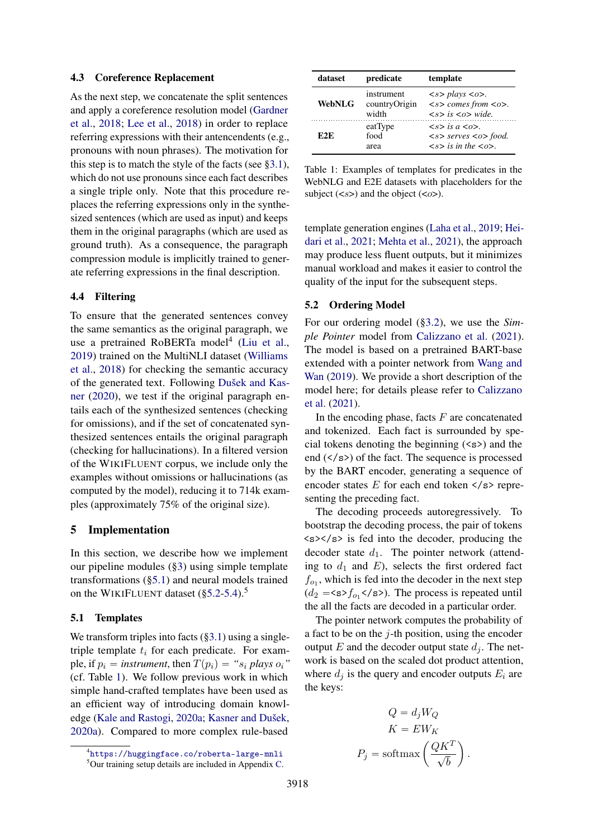#### 4.3 Coreference Replacement

As the next step, we concatenate the split sentences and apply a coreference resolution model [\(Gardner](#page-10-14) [et al.,](#page-10-14) [2018;](#page-10-14) [Lee et al.,](#page-11-12) [2018\)](#page-11-12) in order to replace referring expressions with their antencendents (e.g., pronouns with noun phrases). The motivation for this step is to match the style of the facts (see  $\S 3.1$ ), which do not use pronouns since each fact describes a single triple only. Note that this procedure replaces the referring expressions only in the synthesized sentences (which are used as input) and keeps them in the original paragraphs (which are used as ground truth). As a consequence, the paragraph compression module is implicitly trained to generate referring expressions in the final description.

#### 4.4 Filtering

To ensure that the generated sentences convey the same semantics as the original paragraph, we use a pretrained RoBERTa model<sup>4</sup> [\(Liu et al.,](#page-12-4) [2019\)](#page-12-4) trained on the MultiNLI dataset [\(Williams](#page-13-8) [et al.,](#page-13-8) [2018\)](#page-13-8) for checking the semantic accuracy of the generated text. Following [Dušek and Kas](#page-10-15)[ner](#page-10-15) [\(2020\)](#page-10-15), we test if the original paragraph entails each of the synthesized sentences (checking for omissions), and if the set of concatenated synthesized sentences entails the original paragraph (checking for hallucinations). In a filtered version of the WIKIFLUENT corpus, we include only the examples without omissions or hallucinations (as computed by the model), reducing it to 714k examples (approximately 75% of the original size).

## <span id="page-4-2"></span>5 Implementation

In this section, we describe how we implement our pipeline modules ([§3\)](#page-2-3) using simple template transformations ([§5.1\)](#page-4-1) and neural models trained on the WIKIFLUENT dataset ([§5.2](#page-4-0)[-5.4\)](#page-5-1).<sup>5</sup>

# <span id="page-4-1"></span>5.1 Templates

We transform triples into facts  $(\S 3.1)$  using a singletriple template  $t_i$  for each predicate. For example, if  $p_i$  = *instrument*, then  $T(p_i)$  = " $s_i$  *plays*  $o_i$ " (cf. Table [1\)](#page-4-3). We follow previous work in which simple hand-crafted templates have been used as an efficient way of introducing domain knowledge [\(Kale and Rastogi,](#page-11-13) [2020a;](#page-11-13) [Kasner and Dušek,](#page-11-14) [2020a\)](#page-11-14). Compared to more complex rule-based

<span id="page-4-3"></span>

| dataset       | predicate                            | template                                                                                                                                                              |  |  |
|---------------|--------------------------------------|-----------------------------------------------------------------------------------------------------------------------------------------------------------------------|--|--|
| <b>WebNLG</b> | instrument<br>countryOrigin<br>width | $\langle s \rangle$ plays $\langle \circ \rangle$ .<br>$\langle s \rangle$ comes from $\langle o \rangle$ .<br>$\langle s \rangle$ is $\langle \omega \rangle$ wide.  |  |  |
| E2E           | eatType<br>food<br>area              | $\langle s \rangle$ is $a \langle 0 \rangle$ .<br>$\langle s \rangle$ serves $\langle \circ \rangle$ food.<br>$\langle s \rangle$ is in the $\langle \circ \rangle$ . |  |  |

Table 1: Examples of templates for predicates in the WebNLG and E2E datasets with placeholders for the subject  $(\langle s \rangle)$  and the object  $(\langle \circ \rangle)$ .

template generation engines [\(Laha et al.,](#page-11-2) [2019;](#page-11-2) [Hei](#page-11-15)[dari et al.,](#page-11-15) [2021;](#page-11-15) [Mehta et al.,](#page-12-13) [2021\)](#page-12-13), the approach may produce less fluent outputs, but it minimizes manual workload and makes it easier to control the quality of the input for the subsequent steps.

## <span id="page-4-0"></span>5.2 Ordering Model

For our ordering model ([§3.2\)](#page-2-1), we use the *Simple Pointer* model from [Calizzano et al.](#page-9-2) [\(2021\)](#page-9-2). The model is based on a pretrained BART-base extended with a pointer network from [Wang and](#page-13-2) [Wan](#page-13-2) [\(2019\)](#page-13-2). We provide a short description of the model here; for details please refer to [Calizzano](#page-9-2) [et al.](#page-9-2) [\(2021\)](#page-9-2).

In the encoding phase, facts  $F$  are concatenated and tokenized. Each fact is surrounded by special tokens denoting the beginning  $(\leq s)$  and the end  $(\langle$ /s>) of the fact. The sequence is processed by the BART encoder, generating a sequence of encoder states  $E$  for each end token  $\langle$ /s> representing the preceding fact.

The decoding proceeds autoregressively. To bootstrap the decoding process, the pair of tokens  $\langle s \rangle \langle s \rangle$  is fed into the decoder, producing the decoder state  $d_1$ . The pointer network (attending to  $d_1$  and E), selects the first ordered fact  $f_{o_1}$ , which is fed into the decoder in the next step  $(d_2 = \langle s \rangle f_{01} \langle s \rangle)$ . The process is repeated until the all the facts are decoded in a particular order.

The pointer network computes the probability of a fact to be on the  $j$ -th position, using the encoder output E and the decoder output state  $d_i$ . The network is based on the scaled dot product attention, where  $d_i$  is the query and encoder outputs  $E_i$  are the keys:

$$
Q = d_j W_Q
$$

$$
K = EW_K
$$

$$
P_j = \text{softmax}\left(\frac{QK^T}{\sqrt{b}}\right).
$$

<sup>4</sup> <https://huggingface.co/roberta-large-mnli>

<sup>5</sup>Our training setup details are included in Appendix [C.](#page-14-0)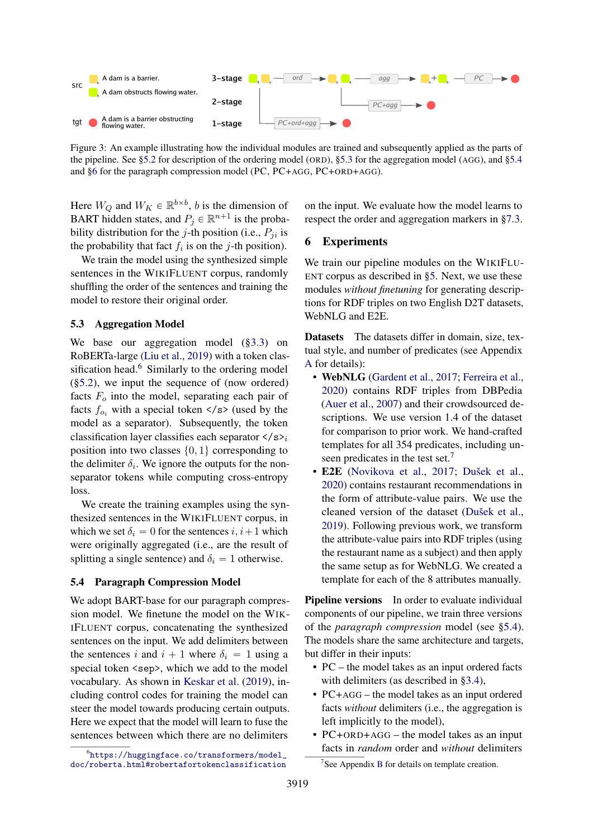<span id="page-5-3"></span>

Figure 3: An example illustrating how the individual modules are trained and subsequently applied as the parts of the pipeline. See [§5.2](#page-4-0) for description of the ordering model (ORD), [§5.3](#page-5-0) for the aggregation model (AGG), and [§5.4](#page-5-1) and [§6](#page-5-2) for the paragraph compression model (PC, PC+AGG, PC+ORD+AGG).

Here  $W_Q$  and  $W_K \in \mathbb{R}^{b \times b}$ , *b* is the dimension of BART hidden states, and  $P_j \in \mathbb{R}^{n+1}$  is the probability distribution for the j-th position (i.e.,  $P_{ii}$  is the probability that fact  $f_i$  is on the j-th position).

We train the model using the synthesized simple sentences in the WIKIFLUENT corpus, randomly shuffling the order of the sentences and training the model to restore their original order.

## <span id="page-5-0"></span>5.3 Aggregation Model

We base our aggregation model ([§3.3\)](#page-2-2) on RoBERTa-large [\(Liu et al.,](#page-12-4) [2019\)](#page-12-4) with a token classification head.<sup>6</sup> Similarly to the ordering model ([§5.2\)](#page-4-0), we input the sequence of (now ordered) facts  $F<sub>o</sub>$  into the model, separating each pair of facts  $f_{o_i}$  with a special token </s> (used by the model as a separator). Subsequently, the token classification layer classifies each separator  $\langle s \rangle_i$ position into two classes  $\{0, 1\}$  corresponding to the delimiter  $\delta_i$ . We ignore the outputs for the nonseparator tokens while computing cross-entropy loss.

We create the training examples using the synthesized sentences in the WIKIFLUENT corpus, in which we set  $\delta_i = 0$  for the sentences  $i, i+1$  which were originally aggregated (i.e., are the result of splitting a single sentence) and  $\delta_i = 1$  otherwise.

## <span id="page-5-1"></span>5.4 Paragraph Compression Model

We adopt BART-base for our paragraph compression model. We finetune the model on the WIK-IFLUENT corpus, concatenating the synthesized sentences on the input. We add delimiters between the sentences i and  $i + 1$  where  $\delta_i = 1$  using a special token <sep>, which we add to the model vocabulary. As shown in [Keskar et al.](#page-11-16) [\(2019\)](#page-11-16), including control codes for training the model can steer the model towards producing certain outputs. Here we expect that the model will learn to fuse the sentences between which there are no delimiters

on the input. We evaluate how the model learns to respect the order and aggregation markers in [§7.3.](#page-7-0)

## <span id="page-5-2"></span>6 Experiments

We train our pipeline modules on the WIKIFLU-ENT corpus as described in [§5.](#page-4-2) Next, we use these modules *without finetuning* for generating descriptions for RDF triples on two English D2T datasets, WebNLG and E2E.

Datasets The datasets differ in domain, size, textual style, and number of predicates (see Appendix [A](#page-13-7) for details):

- WebNLG [\(Gardent et al.,](#page-10-16) [2017;](#page-10-16) [Ferreira et al.,](#page-10-3) [2020\)](#page-10-3) contains RDF triples from DBPedia [\(Auer et al.,](#page-9-7) [2007\)](#page-9-7) and their crowdsourced descriptions. We use version 1.4 of the dataset for comparison to prior work. We hand-crafted templates for all 354 predicates, including unseen predicates in the test set.<sup>7</sup>
- E2E [\(Novikova et al.,](#page-12-14) [2017;](#page-12-14) [Dušek et al.,](#page-10-5) [2020\)](#page-10-5) contains restaurant recommendations in the form of attribute-value pairs. We use the cleaned version of the dataset [\(Dušek et al.,](#page-10-8) [2019\)](#page-10-8). Following previous work, we transform the attribute-value pairs into RDF triples (using the restaurant name as a subject) and then apply the same setup as for WebNLG. We created a template for each of the 8 attributes manually.

**Pipeline versions** In order to evaluate individual components of our pipeline, we train three versions of the *paragraph compression* model (see [§5.4\)](#page-5-1). The models share the same architecture and targets, but differ in their inputs:

- PC the model takes as an input ordered facts with delimiters (as described in [§3.4\)](#page-3-1),
- PC+AGG the model takes as an input ordered facts *without* delimiters (i.e., the aggregation is left implicitly to the model),
- PC+ORD+AGG the model takes as an input facts in *random* order and *without* delimiters

<sup>6</sup> [https://huggingface.co/transformers/model\\_](https://huggingface.co/transformers/model_doc/roberta.html#robertafortokenclassification) [doc/roberta.html#robertafortokenclassification](https://huggingface.co/transformers/model_doc/roberta.html#robertafortokenclassification)

<sup>&</sup>lt;sup>7</sup>See Appendix [B](#page-13-9) for details on template creation.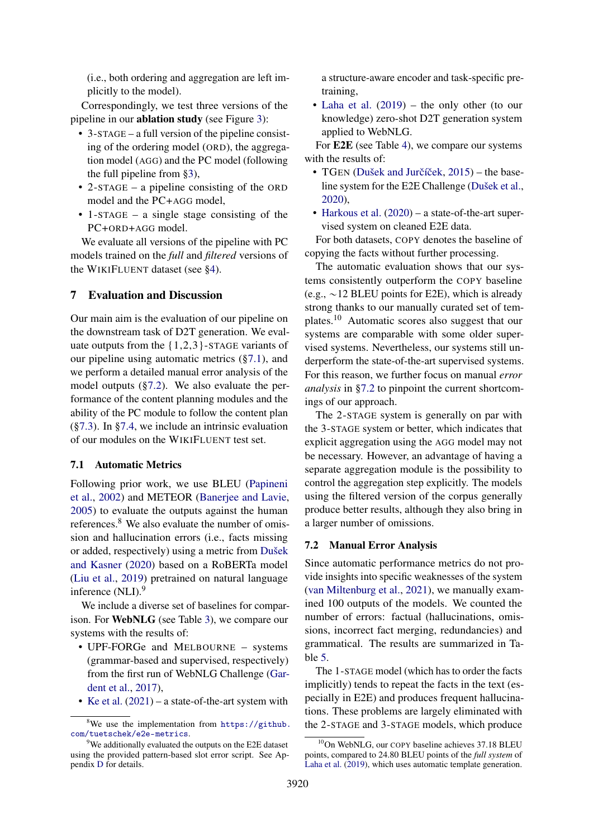(i.e., both ordering and aggregation are left implicitly to the model).

Correspondingly, we test three versions of the pipeline in our ablation study (see Figure [3\)](#page-5-3):

- 3-STAGE a full version of the pipeline consisting of the ordering model (ORD), the aggregation model (AGG) and the PC model (following the full pipeline from [§3\)](#page-2-3),
- 2-STAGE a pipeline consisting of the ORD model and the PC+AGG model,
- 1-STAGE a single stage consisting of the PC+ORD+AGG model.

We evaluate all versions of the pipeline with PC models trained on the *full* and *filtered* versions of the WIKIFLUENT dataset (see [§4\)](#page-3-0).

# 7 Evaluation and Discussion

Our main aim is the evaluation of our pipeline on the downstream task of D2T generation. We evaluate outputs from the  $\{1,2,3\}$ -STAGE variants of our pipeline using automatic metrics ([§7.1\)](#page-6-0), and we perform a detailed manual error analysis of the model outputs ([§7.2\)](#page-6-1). We also evaluate the performance of the content planning modules and the ability of the PC module to follow the content plan ([§7.3\)](#page-7-0). In [§7.4,](#page-8-0) we include an intrinsic evaluation of our modules on the WIKIFLUENT test set.

### <span id="page-6-0"></span>7.1 Automatic Metrics

Following prior work, we use BLEU [\(Papineni](#page-12-15) [et al.,](#page-12-15) [2002\)](#page-12-15) and METEOR [\(Banerjee and Lavie,](#page-9-8) [2005\)](#page-9-8) to evaluate the outputs against the human references.<sup>8</sup> We also evaluate the number of omission and hallucination errors (i.e., facts missing or added, respectively) using a metric from [Dušek](#page-10-15) [and Kasner](#page-10-15) [\(2020\)](#page-10-15) based on a RoBERTa model [\(Liu et al.,](#page-12-4) [2019\)](#page-12-4) pretrained on natural language inference (NLI).<sup>9</sup>

We include a diverse set of baselines for comparison. For WebNLG (see Table [3\)](#page-7-1), we compare our systems with the results of:

- UPF-FORGe and MELBOURNE systems (grammar-based and supervised, respectively) from the first run of WebNLG Challenge [\(Gar](#page-10-16)[dent et al.,](#page-10-16) [2017\)](#page-10-16),
- [Ke et al.](#page-11-0) [\(2021\)](#page-11-0) a state-of-the-art system with

a structure-aware encoder and task-specific pretraining,

• [Laha et al.](#page-11-2) [\(2019\)](#page-11-2) – the only other (to our knowledge) zero-shot D2T generation system applied to WebNLG.

For E2E (see Table [4\)](#page-7-2), we compare our systems with the results of:

- TGEN (Dušek and Jurčíček,  $2015$ ) the baseline system for the E2E Challenge [\(Dušek et al.,](#page-10-5) [2020\)](#page-10-5),
- [Harkous et al.](#page-11-3) [\(2020\)](#page-11-3) a state-of-the-art supervised system on cleaned E2E data.

For both datasets, COPY denotes the baseline of copying the facts without further processing.

The automatic evaluation shows that our systems consistently outperform the COPY baseline (e.g.,  $\sim$  12 BLEU points for E2E), which is already strong thanks to our manually curated set of templates.<sup>10</sup> Automatic scores also suggest that our systems are comparable with some older supervised systems. Nevertheless, our systems still underperform the state-of-the-art supervised systems. For this reason, we further focus on manual *error analysis* in [§7.2](#page-6-1) to pinpoint the current shortcomings of our approach.

The 2-STAGE system is generally on par with the 3-STAGE system or better, which indicates that explicit aggregation using the AGG model may not be necessary. However, an advantage of having a separate aggregation module is the possibility to control the aggregation step explicitly. The models using the filtered version of the corpus generally produce better results, although they also bring in a larger number of omissions.

#### <span id="page-6-1"></span>7.2 Manual Error Analysis

Since automatic performance metrics do not provide insights into specific weaknesses of the system [\(van Miltenburg et al.,](#page-13-10) [2021\)](#page-13-10), we manually examined 100 outputs of the models. We counted the number of errors: factual (hallucinations, omissions, incorrect fact merging, redundancies) and grammatical. The results are summarized in Table [5.](#page-7-3)

The 1-STAGE model (which has to order the facts implicitly) tends to repeat the facts in the text (especially in E2E) and produces frequent hallucinations. These problems are largely eliminated with the 2-STAGE and 3-STAGE models, which produce

 $8$ We use the implementation from [https://github.](https://github.com/tuetschek/e2e-metrics) [com/tuetschek/e2e-metrics](https://github.com/tuetschek/e2e-metrics).

<sup>&</sup>lt;sup>9</sup>We additionally evaluated the outputs on the E2E dataset using the provided pattern-based slot error script. See Appendix [D](#page-14-1) for details.

<sup>&</sup>lt;sup>10</sup>On WebNLG, our COPY baseline achieves 37.18 BLEU points, compared to 24.80 BLEU points of the *full system* of [Laha et al.](#page-11-2) [\(2019\)](#page-11-2), which uses automatic template generation.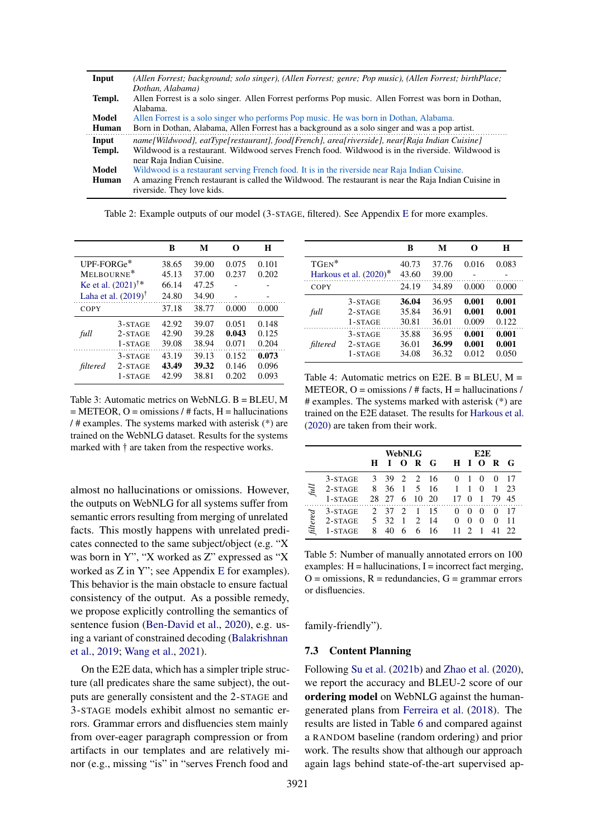| Input  | (Allen Forrest; background; solo singer), (Allen Forrest; genre; Pop music), (Allen Forrest; birthPlace; |
|--------|----------------------------------------------------------------------------------------------------------|
|        | Dothan, Alabama)                                                                                         |
| Templ. | Allen Forrest is a solo singer. Allen Forrest performs Pop music. Allen Forrest was born in Dothan,      |
|        | Alabama.                                                                                                 |
| Model  | Allen Forrest is a solo singer who performs Pop music. He was born in Dothan, Alabama.                   |
| Human  | Born in Dothan, Alabama, Allen Forrest has a background as a solo singer and was a pop artist.           |
|        |                                                                                                          |
| Input  | name [Wildwood], eatType [restaurant], food [French], area [riverside], near [Raja Indian Cuisine]       |
| Templ. | Wildwood is a restaurant. Wildwood serves French food. Wildwood is in the riverside. Wildwood is         |
|        | near Raja Indian Cuisine.                                                                                |
| Model  | Wildwood is a restaurant serving French food. It is in the riverside near Raja Indian Cuisine.           |
| Human  | A amazing French restaurant is called the Wildwood. The restaurant is near the Raja Indian Cuisine in    |

<span id="page-7-1"></span>B M O H UPF-FORGe˚ 38.65 39.00 0.075 0.101 MELBOURNE˚ 45.13 37.00 0.237 0.202 [Ke et al.](#page-11-0)  $(2021)$ <sup>†\*</sup> :˚ 66.14 47.25 - - [Laha et al.](#page-11-2)  $(2019)^\dagger$  $(2019)^\dagger$ 24.80 34.90 COPY 37.18 38.77 0.000 0.000 *full* 3-STAGE 42.92 39.07 0.051 0.148<br>2-STAGE 42.90 39.28 0.043 0.125 2-STAGE 42.90 39.28 0.043 0.125<br>1-STAGE 39.08 38.94 0.071 0.204 1-STAGE 39.08 38.94 0.071 0.204 *filtered* 3-STAGE 43.19 39.13 0.152 0.073<br>2-STAGE 43.49 39.32 0.146 0.096  $2-STATE$ 1-STAGE 42.99 38.81 0.202 0.093

Table 2: Example outputs of our model (3-STAGE, filtered). See Appendix [E](#page-14-2) for more examples.

Table 3: Automatic metrics on WebNLG. B = BLEU, M  $=$  METEOR, O  $=$  omissions /  $\#$  facts, H  $=$  hallucinations /  $\#$  examples. The systems marked with asterisk  $(*)$  are trained on the WebNLG dataset. Results for the systems marked with  $\dagger$  are taken from the respective works.

almost no hallucinations or omissions. However, the outputs on WebNLG for all systems suffer from semantic errors resulting from merging of unrelated facts. This mostly happens with unrelated predicates connected to the same subject/object (e.g. "X was born in Y", "X worked as Z" expressed as "X worked as Z in Y"; see Appendix [E](#page-14-2) for examples). This behavior is the main obstacle to ensure factual consistency of the output. As a possible remedy, we propose explicitly controlling the semantics of sentence fusion [\(Ben-David et al.,](#page-9-9) [2020\)](#page-9-9), e.g. using a variant of constrained decoding [\(Balakrishnan](#page-9-10) [et al.,](#page-9-10) [2019;](#page-9-10) [Wang et al.,](#page-13-11) [2021\)](#page-13-11).

On the E2E data, which has a simpler triple structure (all predicates share the same subject), the outputs are generally consistent and the 2-STAGE and 3-STAGE models exhibit almost no semantic errors. Grammar errors and disfluencies stem mainly from over-eager paragraph compression or from artifacts in our templates and are relatively minor (e.g., missing "is" in "serves French food and

<span id="page-7-2"></span>

|          |                        | B     | М     | O     | н     |
|----------|------------------------|-------|-------|-------|-------|
| $TGEN^*$ |                        | 40.73 | 37.76 | 0.016 | 0.083 |
|          | Harkous et al. (2020)* | 43.60 | 39.00 |       |       |
| COPY     |                        | 24.19 | 34.89 | 0.000 | 0.000 |
|          | $3-STATE$              | 36.04 | 36.95 | 0.001 | 0.001 |
| full     | $2-STATE$              | 35.84 | 36.91 | 0.001 | 0.001 |
|          | $1 - STAGE$            | 30.81 | 36.01 | 0.009 | 0.122 |
|          | $3-STATE$              | 35.88 | 36.95 | 0.001 | 0.001 |
| filtered | $2-STATE$              | 36.01 | 36.99 | 0.001 | 0.001 |
|          | $1-STATE$              | 34.08 | 36.32 | 0.012 | 0.050 |
|          |                        |       |       |       |       |

Table 4: Automatic metrics on E2E,  $B = BLEU$ ,  $M =$ METEOR,  $Q = \text{omissions}/\# \text{facts}$ ,  $H = \text{hallucinations}/\# \text{facts}$ # examples. The systems marked with asterisk (\*) are trained on the E2E dataset. The results for [Harkous et al.](#page-11-3) [\(2020\)](#page-11-3) are taken from their work.

<span id="page-7-3"></span>

|                                |           |    | WebNLG |   |                               |    |          | E2E          |          |          |             |
|--------------------------------|-----------|----|--------|---|-------------------------------|----|----------|--------------|----------|----------|-------------|
|                                |           | н  |        |   | $O$ R G                       |    | H        | $\mathbf{I}$ | - 0      | R        | $\mathbf G$ |
|                                | $3-STATE$ |    | 3 39   |   | 2 2 16                        |    | $\theta$ |              | $\theta$ | $^{(1)}$ | 17          |
| $\ensuremath{{\mathit{full}}}$ | $2-STATE$ | 8  | 36 1   |   | $5\overline{)}$               | 16 | -1       | 1            | $\theta$ |          | 23          |
|                                | $1-STATE$ |    |        |   | 28 27 6 10 20                 |    | 17       | $\theta$     |          | 79       | 45          |
|                                | 3-STAGE   |    | 2 37   | 2 |                               | 15 | $^{(1)}$ |              |          | $^{(1)}$ |             |
|                                | $2-STATE$ | 5. | 32     |   | $\mathfrak{D}_{\mathfrak{p}}$ | 14 | 0        | $\theta$     | $\theta$ | $\theta$ | 11          |
| $\operatorname{filtered}$      | 1-STAGE   | 8  | 40     |   | 6                             | 16 |          |              |          |          | 22          |

Table 5: Number of manually annotated errors on 100 examples:  $H = \text{hallucinations}, I = \text{incorrect fact merging},$  $O = \text{omissions}, R = \text{redundancies}, G = \text{grammar errors}$ or disfluencies.

family-friendly").

# <span id="page-7-0"></span>7.3 Content Planning

Following [Su et al.](#page-12-9) [\(2021b\)](#page-12-9) and [Zhao et al.](#page-13-0) [\(2020\)](#page-13-0), we report the accuracy and BLEU-2 score of our ordering model on WebNLG against the humangenerated plans from [Ferreira et al.](#page-10-18) [\(2018\)](#page-10-18). The results are listed in Table [6](#page-8-1) and compared against a RANDOM baseline (random ordering) and prior work. The results show that although our approach again lags behind state-of-the-art supervised ap-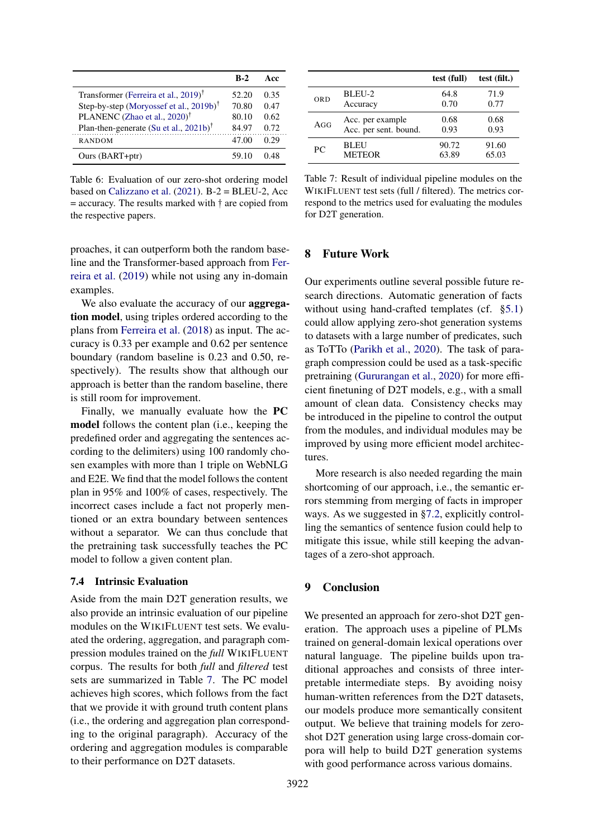<span id="page-8-1"></span>

|                                                       | $R-2$ | Acc  |
|-------------------------------------------------------|-------|------|
| Transformer (Ferreira et al., 2019) <sup>†</sup>      | 52.20 | 0.35 |
| Step-by-step (Moryossef et al., 2019b) <sup>†</sup>   | 70.80 | 0.47 |
| PLANENC (Zhao et al., 2020) <sup>†</sup>              | 80.10 | 0.62 |
| Plan-then-generate (Su et al., $2021b$ ) <sup>†</sup> | 84.97 | 0.72 |
| <b>RANDOM</b>                                         | 47.00 | 0.29 |
| Ours (BART+ptr)                                       | 59.10 | O 48 |

Table 6: Evaluation of our zero-shot ordering model based on [Calizzano et al.](#page-9-2)  $(2021)$ . B-2 = BLEU-2, Acc  $=$  accuracy. The results marked with  $\dagger$  are copied from the respective papers.

proaches, it can outperform both the random baseline and the Transformer-based approach from [Fer](#page-10-4)[reira et al.](#page-10-4) [\(2019\)](#page-10-4) while not using any in-domain examples.

We also evaluate the accuracy of our **aggrega**tion model, using triples ordered according to the plans from [Ferreira et al.](#page-10-18) [\(2018\)](#page-10-18) as input. The accuracy is 0.33 per example and 0.62 per sentence boundary (random baseline is 0.23 and 0.50, respectively). The results show that although our approach is better than the random baseline, there is still room for improvement.

Finally, we manually evaluate how the PC model follows the content plan (i.e., keeping the predefined order and aggregating the sentences according to the delimiters) using 100 randomly chosen examples with more than 1 triple on WebNLG and E2E. We find that the model follows the content plan in 95% and 100% of cases, respectively. The incorrect cases include a fact not properly mentioned or an extra boundary between sentences without a separator. We can thus conclude that the pretraining task successfully teaches the PC model to follow a given content plan.

## <span id="page-8-0"></span>7.4 Intrinsic Evaluation

Aside from the main D2T generation results, we also provide an intrinsic evaluation of our pipeline modules on the WIKIFLUENT test sets. We evaluated the ordering, aggregation, and paragraph compression modules trained on the *full* WIKIFLUENT corpus. The results for both *full* and *filtered* test sets are summarized in Table [7.](#page-8-2) The PC model achieves high scores, which follows from the fact that we provide it with ground truth content plans (i.e., the ordering and aggregation plan corresponding to the original paragraph). Accuracy of the ordering and aggregation modules is comparable to their performance on D2T datasets.

<span id="page-8-2"></span>

|     |                       | test (full) | test (filt.) |
|-----|-----------------------|-------------|--------------|
| ORD | BLEU-2                | 64.8        | 71.9         |
|     | Accuracy              | 0.70        | 0.77         |
| AGG | Acc. per example      | 0.68        | 0.68         |
|     | Acc. per sent. bound. | 0.93        | 0.93         |
| PC. | <b>BLEU</b>           | 90.72       | 91.60        |
|     | <b>METEOR</b>         | 63.89       | 65.03        |

Table 7: Result of individual pipeline modules on the WIKIFLUENT test sets (full / filtered). The metrics correspond to the metrics used for evaluating the modules for D2T generation.

## 8 Future Work

Our experiments outline several possible future research directions. Automatic generation of facts without using hand-crafted templates (cf. [§5.1\)](#page-4-1) could allow applying zero-shot generation systems to datasets with a large number of predicates, such as ToTTo [\(Parikh et al.,](#page-12-16) [2020\)](#page-12-16). The task of paragraph compression could be used as a task-specific pretraining [\(Gururangan et al.,](#page-11-17) [2020\)](#page-11-17) for more efficient finetuning of D2T models, e.g., with a small amount of clean data. Consistency checks may be introduced in the pipeline to control the output from the modules, and individual modules may be improved by using more efficient model architectures.

More research is also needed regarding the main shortcoming of our approach, i.e., the semantic errors stemming from merging of facts in improper ways. As we suggested in [§7.2,](#page-6-1) explicitly controlling the semantics of sentence fusion could help to mitigate this issue, while still keeping the advantages of a zero-shot approach.

# 9 Conclusion

We presented an approach for zero-shot D2T generation. The approach uses a pipeline of PLMs trained on general-domain lexical operations over natural language. The pipeline builds upon traditional approaches and consists of three interpretable intermediate steps. By avoiding noisy human-written references from the D2T datasets, our models produce more semantically consitent output. We believe that training models for zeroshot D2T generation using large cross-domain corpora will help to build D2T generation systems with good performance across various domains.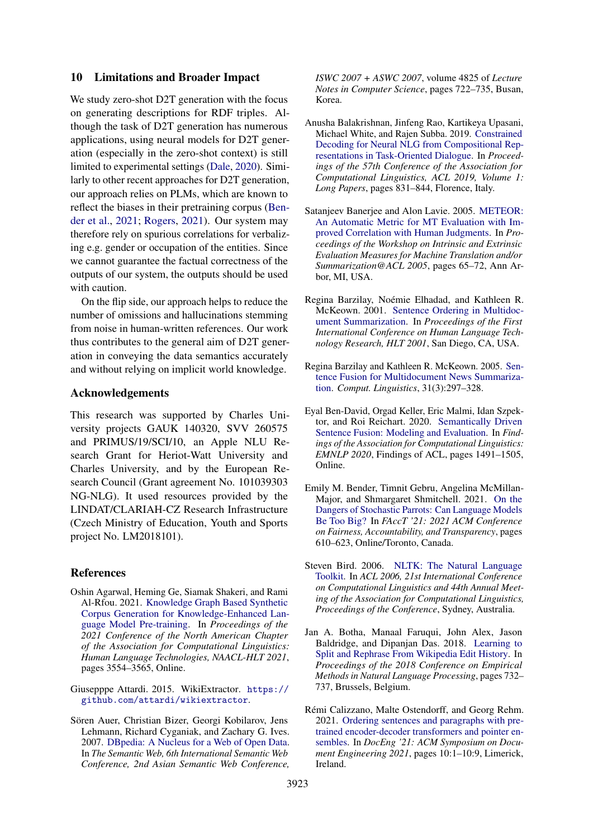### 10 Limitations and Broader Impact

We study zero-shot D2T generation with the focus on generating descriptions for RDF triples. Although the task of D2T generation has numerous applications, using neural models for D2T generation (especially in the zero-shot context) is still limited to experimental settings [\(Dale,](#page-10-1) [2020\)](#page-10-1). Similarly to other recent approaches for D2T generation, our approach relies on PLMs, which are known to reflect the biases in their pretraining corpus [\(Ben](#page-9-11)[der et al.,](#page-9-11) [2021;](#page-9-11) [Rogers,](#page-12-17) [2021\)](#page-12-17). Our system may therefore rely on spurious correlations for verbalizing e.g. gender or occupation of the entities. Since we cannot guarantee the factual correctness of the outputs of our system, the outputs should be used with caution.

On the flip side, our approach helps to reduce the number of omissions and hallucinations stemming from noise in human-written references. Our work thus contributes to the general aim of D2T generation in conveying the data semantics accurately and without relying on implicit world knowledge.

#### Acknowledgements

This research was supported by Charles University projects GAUK 140320, SVV 260575 and PRIMUS/19/SCI/10, an Apple NLU Research Grant for Heriot-Watt University and Charles University, and by the European Research Council (Grant agreement No. 101039303 NG-NLG). It used resources provided by the LINDAT/CLARIAH-CZ Research Infrastructure (Czech Ministry of Education, Youth and Sports project No. LM2018101).

## **References**

- <span id="page-9-0"></span>Oshin Agarwal, Heming Ge, Siamak Shakeri, and Rami Al-Rfou. 2021. [Knowledge Graph Based Synthetic](https://doi.org/10.18653/v1/2021.naacl-main.278) [Corpus Generation for Knowledge-Enhanced Lan](https://doi.org/10.18653/v1/2021.naacl-main.278)[guage Model Pre-training.](https://doi.org/10.18653/v1/2021.naacl-main.278) In *Proceedings of the 2021 Conference of the North American Chapter of the Association for Computational Linguistics: Human Language Technologies, NAACL-HLT 2021*, pages 3554–3565, Online.
- <span id="page-9-4"></span>Giusepppe Attardi. 2015. WikiExtractor. [https://](https://github.com/attardi/wikiextractor) [github.com/attardi/wikiextractor](https://github.com/attardi/wikiextractor).
- <span id="page-9-7"></span>Sören Auer, Christian Bizer, Georgi Kobilarov, Jens Lehmann, Richard Cyganiak, and Zachary G. Ives. 2007. [DBpedia: A Nucleus for a Web of Open Data.](https://doi.org/10.1007/978-3-540-76298-0_52) In *The Semantic Web, 6th International Semantic Web Conference, 2nd Asian Semantic Web Conference,*

*ISWC 2007 + ASWC 2007*, volume 4825 of *Lecture Notes in Computer Science*, pages 722–735, Busan, Korea.

- <span id="page-9-10"></span>Anusha Balakrishnan, Jinfeng Rao, Kartikeya Upasani, Michael White, and Rajen Subba. 2019. [Constrained](https://doi.org/10.18653/v1/p19-1080) [Decoding for Neural NLG from Compositional Rep](https://doi.org/10.18653/v1/p19-1080)[resentations in Task-Oriented Dialogue.](https://doi.org/10.18653/v1/p19-1080) In *Proceedings of the 57th Conference of the Association for Computational Linguistics, ACL 2019, Volume 1: Long Papers*, pages 831–844, Florence, Italy.
- <span id="page-9-8"></span>Satanjeev Banerjee and Alon Lavie. 2005. [METEOR:](https://aclanthology.org/W05-0909/) [An Automatic Metric for MT Evaluation with Im](https://aclanthology.org/W05-0909/)[proved Correlation with Human Judgments.](https://aclanthology.org/W05-0909/) In *Proceedings of the Workshop on Intrinsic and Extrinsic Evaluation Measures for Machine Translation and/or Summarization@ACL 2005*, pages 65–72, Ann Arbor, MI, USA.
- <span id="page-9-1"></span>Regina Barzilay, Noémie Elhadad, and Kathleen R. McKeown. 2001. [Sentence Ordering in Multidoc](https://aclanthology.org/H01-1065/)[ument Summarization.](https://aclanthology.org/H01-1065/) In *Proceedings of the First International Conference on Human Language Technology Research, HLT 2001*, San Diego, CA, USA.
- <span id="page-9-3"></span>Regina Barzilay and Kathleen R. McKeown. 2005. [Sen](https://doi.org/10.1162/089120105774321091)[tence Fusion for Multidocument News Summariza](https://doi.org/10.1162/089120105774321091)[tion.](https://doi.org/10.1162/089120105774321091) *Comput. Linguistics*, 31(3):297–328.
- <span id="page-9-9"></span>Eyal Ben-David, Orgad Keller, Eric Malmi, Idan Szpektor, and Roi Reichart. 2020. [Semantically Driven](https://doi.org/10.18653/v1/2020.findings-emnlp.135) [Sentence Fusion: Modeling and Evaluation.](https://doi.org/10.18653/v1/2020.findings-emnlp.135) In *Findings of the Association for Computational Linguistics: EMNLP 2020*, Findings of ACL, pages 1491–1505, Online.
- <span id="page-9-11"></span>Emily M. Bender, Timnit Gebru, Angelina McMillan-Major, and Shmargaret Shmitchell. 2021. [On the](https://doi.org/10.1145/3442188.3445922) [Dangers of Stochastic Parrots: Can Language Models](https://doi.org/10.1145/3442188.3445922) [Be Too Big?](https://doi.org/10.1145/3442188.3445922) In *FAccT '21: 2021 ACM Conference on Fairness, Accountability, and Transparency*, pages 610–623, Online/Toronto, Canada.
- <span id="page-9-5"></span>Steven Bird. 2006. [NLTK: The Natural Language](https://doi.org/10.3115/1225403.1225421) [Toolkit.](https://doi.org/10.3115/1225403.1225421) In *ACL 2006, 21st International Conference on Computational Linguistics and 44th Annual Meeting of the Association for Computational Linguistics, Proceedings of the Conference*, Sydney, Australia.
- <span id="page-9-6"></span>Jan A. Botha, Manaal Faruqui, John Alex, Jason Baldridge, and Dipanjan Das. 2018. [Learning to](https://doi.org/10.18653/v1/D18-1080) [Split and Rephrase From Wikipedia Edit History.](https://doi.org/10.18653/v1/D18-1080) In *Proceedings of the 2018 Conference on Empirical Methods in Natural Language Processing*, pages 732– 737, Brussels, Belgium.
- <span id="page-9-2"></span>Rémi Calizzano, Malte Ostendorff, and Georg Rehm. 2021. [Ordering sentences and paragraphs with pre](https://doi.org/10.1145/3469096.3469874)[trained encoder-decoder transformers and pointer en](https://doi.org/10.1145/3469096.3469874)[sembles.](https://doi.org/10.1145/3469096.3469874) In *DocEng '21: ACM Symposium on Document Engineering 2021*, pages 10:1–10:9, Limerick, Ireland.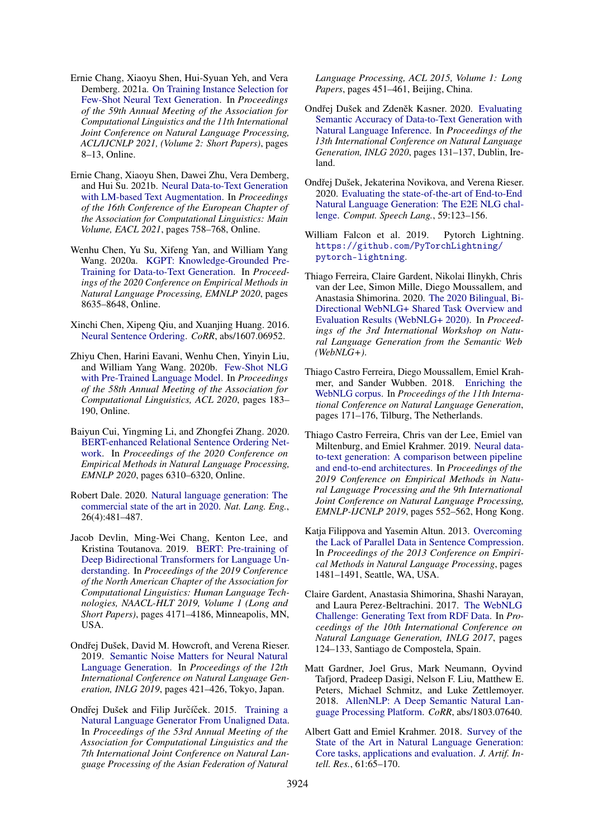- <span id="page-10-7"></span>Ernie Chang, Xiaoyu Shen, Hui-Syuan Yeh, and Vera Demberg. 2021a. [On Training Instance Selection for](https://doi.org/10.18653/v1/2021.acl-short.2) [Few-Shot Neural Text Generation.](https://doi.org/10.18653/v1/2021.acl-short.2) In *Proceedings of the 59th Annual Meeting of the Association for Computational Linguistics and the 11th International Joint Conference on Natural Language Processing, ACL/IJCNLP 2021, (Volume 2: Short Papers)*, pages 8–13, Online.
- <span id="page-10-10"></span>Ernie Chang, Xiaoyu Shen, Dawei Zhu, Vera Demberg, and Hui Su. 2021b. [Neural Data-to-Text Generation](https://doi.org/10.18653/v1/2021.eacl-main.64) [with LM-based Text Augmentation.](https://doi.org/10.18653/v1/2021.eacl-main.64) In *Proceedings of the 16th Conference of the European Chapter of the Association for Computational Linguistics: Main Volume, EACL 2021*, pages 758–768, Online.
- <span id="page-10-2"></span>Wenhu Chen, Yu Su, Xifeng Yan, and William Yang Wang. 2020a. [KGPT: Knowledge-Grounded Pre-](https://doi.org/10.18653/v1/2020.emnlp-main.697)[Training for Data-to-Text Generation.](https://doi.org/10.18653/v1/2020.emnlp-main.697) In *Proceedings of the 2020 Conference on Empirical Methods in Natural Language Processing, EMNLP 2020*, pages 8635–8648, Online.
- <span id="page-10-11"></span>Xinchi Chen, Xipeng Qiu, and Xuanjing Huang. 2016. [Neural Sentence Ordering.](http://arxiv.org/abs/1607.06952) *CoRR*, abs/1607.06952.
- <span id="page-10-6"></span>Zhiyu Chen, Harini Eavani, Wenhu Chen, Yinyin Liu, and William Yang Wang. 2020b. [Few-Shot NLG](https://doi.org/10.18653/v1/2020.acl-main.18) [with Pre-Trained Language Model.](https://doi.org/10.18653/v1/2020.acl-main.18) In *Proceedings of the 58th Annual Meeting of the Association for Computational Linguistics, ACL 2020*, pages 183– 190, Online.
- <span id="page-10-12"></span>Baiyun Cui, Yingming Li, and Zhongfei Zhang. 2020. [BERT-enhanced Relational Sentence Ordering Net](https://doi.org/10.18653/v1/2020.emnlp-main.511)[work.](https://doi.org/10.18653/v1/2020.emnlp-main.511) In *Proceedings of the 2020 Conference on Empirical Methods in Natural Language Processing, EMNLP 2020*, pages 6310–6320, Online.
- <span id="page-10-1"></span>Robert Dale. 2020. [Natural language generation: The](https://doi.org/10.1017/S135132492000025X) [commercial state of the art in 2020.](https://doi.org/10.1017/S135132492000025X) *Nat. Lang. Eng.*, 26(4):481–487.
- <span id="page-10-9"></span>Jacob Devlin, Ming-Wei Chang, Kenton Lee, and Kristina Toutanova. 2019. [BERT: Pre-training of](https://doi.org/10.18653/v1/n19-1423) [Deep Bidirectional Transformers for Language Un](https://doi.org/10.18653/v1/n19-1423)[derstanding.](https://doi.org/10.18653/v1/n19-1423) In *Proceedings of the 2019 Conference of the North American Chapter of the Association for Computational Linguistics: Human Language Technologies, NAACL-HLT 2019, Volume 1 (Long and Short Papers)*, pages 4171–4186, Minneapolis, MN, USA.
- <span id="page-10-8"></span>Ondřej Dušek, David M. Howcroft, and Verena Rieser. 2019. [Semantic Noise Matters for Neural Natural](https://doi.org/10.18653/v1/W19-8652) [Language Generation.](https://doi.org/10.18653/v1/W19-8652) In *Proceedings of the 12th International Conference on Natural Language Generation, INLG 2019*, pages 421–426, Tokyo, Japan.
- <span id="page-10-17"></span>Ondřej Dušek and Filip Jurčíček. 2015. [Training a](https://doi.org/10.3115/v1/p15-1044) [Natural Language Generator From Unaligned Data.](https://doi.org/10.3115/v1/p15-1044) In *Proceedings of the 53rd Annual Meeting of the Association for Computational Linguistics and the 7th International Joint Conference on Natural Language Processing of the Asian Federation of Natural*

*Language Processing, ACL 2015, Volume 1: Long Papers*, pages 451–461, Beijing, China.

- <span id="page-10-15"></span>Ondřej Dušek and Zdeněk Kasner. 2020. [Evaluating](https://aclanthology.org/2020.inlg-1.19/) [Semantic Accuracy of Data-to-Text Generation with](https://aclanthology.org/2020.inlg-1.19/) [Natural Language Inference.](https://aclanthology.org/2020.inlg-1.19/) In *Proceedings of the 13th International Conference on Natural Language Generation, INLG 2020*, pages 131–137, Dublin, Ireland.
- <span id="page-10-5"></span>Ondřej Dušek, Jekaterina Novikova, and Verena Rieser. 2020. [Evaluating the state-of-the-art of End-to-End](https://doi.org/10.1016/j.csl.2019.06.009) [Natural Language Generation: The E2E NLG chal](https://doi.org/10.1016/j.csl.2019.06.009)[lenge.](https://doi.org/10.1016/j.csl.2019.06.009) *Comput. Speech Lang.*, 59:123–156.
- <span id="page-10-19"></span>William Falcon et al. 2019. Pytorch Lightning. [https://github.com/PyTorchLightning/](https://github.com/PyTorchLightning/pytorch-lightning) [pytorch-lightning](https://github.com/PyTorchLightning/pytorch-lightning).
- <span id="page-10-3"></span>Thiago Ferreira, Claire Gardent, Nikolai Ilinykh, Chris van der Lee, Simon Mille, Diego Moussallem, and Anastasia Shimorina. 2020. [The 2020 Bilingual, Bi-](https://aclanthology.org/2020.webnlg-1.7/)[Directional WebNLG+ Shared Task Overview and](https://aclanthology.org/2020.webnlg-1.7/) [Evaluation Results \(WebNLG+ 2020\).](https://aclanthology.org/2020.webnlg-1.7/) In *Proceedings of the 3rd International Workshop on Natural Language Generation from the Semantic Web (WebNLG+)*.
- <span id="page-10-18"></span>Thiago Castro Ferreira, Diego Moussallem, Emiel Krahmer, and Sander Wubben. 2018. [Enriching the](https://doi.org/10.18653/v1/w18-6521) [WebNLG corpus.](https://doi.org/10.18653/v1/w18-6521) In *Proceedings of the 11th International Conference on Natural Language Generation*, pages 171–176, Tilburg, The Netherlands.
- <span id="page-10-4"></span>Thiago Castro Ferreira, Chris van der Lee, Emiel van Miltenburg, and Emiel Krahmer. 2019. [Neural data](https://doi.org/10.18653/v1/D19-1052)[to-text generation: A comparison between pipeline](https://doi.org/10.18653/v1/D19-1052) [and end-to-end architectures.](https://doi.org/10.18653/v1/D19-1052) In *Proceedings of the 2019 Conference on Empirical Methods in Natural Language Processing and the 9th International Joint Conference on Natural Language Processing, EMNLP-IJCNLP 2019*, pages 552–562, Hong Kong.
- <span id="page-10-13"></span>Katja Filippova and Yasemin Altun. 2013. [Overcoming](https://aclanthology.org/D13-1155/) [the Lack of Parallel Data in Sentence Compression.](https://aclanthology.org/D13-1155/) In *Proceedings of the 2013 Conference on Empirical Methods in Natural Language Processing*, pages 1481–1491, Seattle, WA, USA.
- <span id="page-10-16"></span>Claire Gardent, Anastasia Shimorina, Shashi Narayan, and Laura Perez-Beltrachini. 2017. [The WebNLG](https://doi.org/10.18653/v1/w17-3518) [Challenge: Generating Text from RDF Data.](https://doi.org/10.18653/v1/w17-3518) In *Proceedings of the 10th International Conference on Natural Language Generation, INLG 2017*, pages 124–133, Santiago de Compostela, Spain.
- <span id="page-10-14"></span>Matt Gardner, Joel Grus, Mark Neumann, Oyvind Tafjord, Pradeep Dasigi, Nelson F. Liu, Matthew E. Peters, Michael Schmitz, and Luke Zettlemoyer. 2018. [AllenNLP: A Deep Semantic Natural Lan](http://arxiv.org/abs/1803.07640)[guage Processing Platform.](http://arxiv.org/abs/1803.07640) *CoRR*, abs/1803.07640.
- <span id="page-10-0"></span>Albert Gatt and Emiel Krahmer. 2018. [Survey of the](https://doi.org/10.1613/jair.5477) [State of the Art in Natural Language Generation:](https://doi.org/10.1613/jair.5477) [Core tasks, applications and evaluation.](https://doi.org/10.1613/jair.5477) *J. Artif. Intell. Res.*, 61:65–170.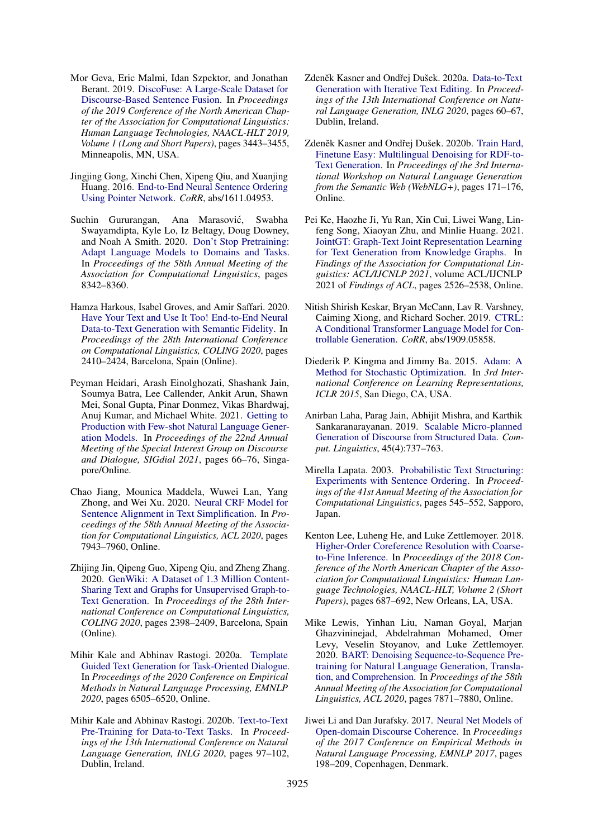- <span id="page-11-10"></span>Mor Geva, Eric Malmi, Idan Szpektor, and Jonathan Berant. 2019. [DiscoFuse: A Large-Scale Dataset for](https://doi.org/10.18653/v1/n19-1348) [Discourse-Based Sentence Fusion.](https://doi.org/10.18653/v1/n19-1348) In *Proceedings of the 2019 Conference of the North American Chapter of the Association for Computational Linguistics: Human Language Technologies, NAACL-HLT 2019, Volume 1 (Long and Short Papers)*, pages 3443–3455, Minneapolis, MN, USA.
- <span id="page-11-8"></span>Jingjing Gong, Xinchi Chen, Xipeng Qiu, and Xuanjing Huang. 2016. [End-to-End Neural Sentence Ordering](http://arxiv.org/abs/1611.04953) [Using Pointer Network.](http://arxiv.org/abs/1611.04953) *CoRR*, abs/1611.04953.
- <span id="page-11-17"></span>Suchin Gururangan, Ana Marasović, Swabha Swayamdipta, Kyle Lo, Iz Beltagy, Doug Downey, and Noah A Smith. 2020. [Don't Stop Pretraining:](https://aclanthology.org/2020.acl-main.740/) [Adapt Language Models to Domains and Tasks.](https://aclanthology.org/2020.acl-main.740/) In *Proceedings of the 58th Annual Meeting of the Association for Computational Linguistics*, pages 8342–8360.
- <span id="page-11-3"></span>Hamza Harkous, Isabel Groves, and Amir Saffari. 2020. [Have Your Text and Use It Too! End-to-End Neural](https://doi.org/10.18653/v1/2020.coling-main.218) [Data-to-Text Generation with Semantic Fidelity.](https://doi.org/10.18653/v1/2020.coling-main.218) In *Proceedings of the 28th International Conference on Computational Linguistics, COLING 2020*, pages 2410–2424, Barcelona, Spain (Online).
- <span id="page-11-15"></span>Peyman Heidari, Arash Einolghozati, Shashank Jain, Soumya Batra, Lee Callender, Ankit Arun, Shawn Mei, Sonal Gupta, Pinar Donmez, Vikas Bhardwaj, Anuj Kumar, and Michael White. 2021. [Getting to](https://aclanthology.org/2021.sigdial-1.8) [Production with Few-shot Natural Language Gener](https://aclanthology.org/2021.sigdial-1.8)[ation Models.](https://aclanthology.org/2021.sigdial-1.8) In *Proceedings of the 22nd Annual Meeting of the Special Interest Group on Discourse and Dialogue, SIGdial 2021*, pages 66–76, Singapore/Online.
- <span id="page-11-9"></span>Chao Jiang, Mounica Maddela, Wuwei Lan, Yang Zhong, and Wei Xu. 2020. [Neural CRF Model for](https://doi.org/10.18653/v1/2020.acl-main.709) [Sentence Alignment in Text Simplification.](https://doi.org/10.18653/v1/2020.acl-main.709) In *Proceedings of the 58th Annual Meeting of the Association for Computational Linguistics, ACL 2020*, pages 7943–7960, Online.
- <span id="page-11-11"></span>Zhijing Jin, Qipeng Guo, Xipeng Qiu, and Zheng Zhang. 2020. [GenWiki: A Dataset of 1.3 Million Content-](https://doi.org/10.18653/v1/2020.coling-main.217)[Sharing Text and Graphs for Unsupervised Graph-to-](https://doi.org/10.18653/v1/2020.coling-main.217)[Text Generation.](https://doi.org/10.18653/v1/2020.coling-main.217) In *Proceedings of the 28th International Conference on Computational Linguistics, COLING 2020*, pages 2398–2409, Barcelona, Spain (Online).
- <span id="page-11-13"></span>Mihir Kale and Abhinav Rastogi. 2020a. [Template](https://doi.org/10.18653/v1/2020.emnlp-main.527) [Guided Text Generation for Task-Oriented Dialogue.](https://doi.org/10.18653/v1/2020.emnlp-main.527) In *Proceedings of the 2020 Conference on Empirical Methods in Natural Language Processing, EMNLP 2020*, pages 6505–6520, Online.
- <span id="page-11-1"></span>Mihir Kale and Abhinav Rastogi. 2020b. [Text-to-Text](https://aclanthology.org/2020.inlg-1.14/) [Pre-Training for Data-to-Text Tasks.](https://aclanthology.org/2020.inlg-1.14/) In *Proceedings of the 13th International Conference on Natural Language Generation, INLG 2020*, pages 97–102, Dublin, Ireland.
- <span id="page-11-14"></span>Zdeněk Kasner and Ondřej Dušek. 2020a. [Data-to-Text](https://aclanthology.org/2020.inlg-1.9/) [Generation with Iterative Text Editing.](https://aclanthology.org/2020.inlg-1.9/) In *Proceedings of the 13th International Conference on Natural Language Generation, INLG 2020*, pages 60–67, Dublin, Ireland.
- <span id="page-11-5"></span>Zdeněk Kasner and Ondřej Dušek. 2020b. [Train Hard,](https://aclanthology.org/2020.webnlg-1.20/) [Finetune Easy: Multilingual Denoising for RDF-to-](https://aclanthology.org/2020.webnlg-1.20/)[Text Generation.](https://aclanthology.org/2020.webnlg-1.20/) In *Proceedings of the 3rd International Workshop on Natural Language Generation from the Semantic Web (WebNLG+)*, pages 171–176, Online.
- <span id="page-11-0"></span>Pei Ke, Haozhe Ji, Yu Ran, Xin Cui, Liwei Wang, Linfeng Song, Xiaoyan Zhu, and Minlie Huang. 2021. [JointGT: Graph-Text Joint Representation Learning](https://doi.org/10.18653/v1/2021.findings-acl.223) [for Text Generation from Knowledge Graphs.](https://doi.org/10.18653/v1/2021.findings-acl.223) In *Findings of the Association for Computational Linguistics: ACL/IJCNLP 2021*, volume ACL/IJCNLP 2021 of *Findings of ACL*, pages 2526–2538, Online.
- <span id="page-11-16"></span>Nitish Shirish Keskar, Bryan McCann, Lav R. Varshney, Caiming Xiong, and Richard Socher. 2019. [CTRL:](http://arxiv.org/abs/1909.05858) [A Conditional Transformer Language Model for Con](http://arxiv.org/abs/1909.05858)[trollable Generation.](http://arxiv.org/abs/1909.05858) *CoRR*, abs/1909.05858.
- <span id="page-11-18"></span>Diederik P. Kingma and Jimmy Ba. 2015. [Adam: A](http://arxiv.org/abs/1412.6980) [Method for Stochastic Optimization.](http://arxiv.org/abs/1412.6980) In *3rd International Conference on Learning Representations, ICLR 2015*, San Diego, CA, USA.
- <span id="page-11-2"></span>Anirban Laha, Parag Jain, Abhijit Mishra, and Karthik Sankaranarayanan. 2019. [Scalable Micro-planned](https://doi.org/10.1162/coli_a_00363) [Generation of Discourse from Structured Data.](https://doi.org/10.1162/coli_a_00363) *Comput. Linguistics*, 45(4):737–763.
- <span id="page-11-6"></span>Mirella Lapata. 2003. [Probabilistic Text Structuring:](https://doi.org/10.3115/1075096.1075165) [Experiments with Sentence Ordering.](https://doi.org/10.3115/1075096.1075165) In *Proceedings of the 41st Annual Meeting of the Association for Computational Linguistics*, pages 545–552, Sapporo, Japan.
- <span id="page-11-12"></span>Kenton Lee, Luheng He, and Luke Zettlemoyer. 2018. [Higher-Order Coreference Resolution with Coarse](https://doi.org/10.18653/v1/n18-2108)[to-Fine Inference.](https://doi.org/10.18653/v1/n18-2108) In *Proceedings of the 2018 Conference of the North American Chapter of the Association for Computational Linguistics: Human Language Technologies, NAACL-HLT, Volume 2 (Short Papers)*, pages 687–692, New Orleans, LA, USA.
- <span id="page-11-4"></span>Mike Lewis, Yinhan Liu, Naman Goyal, Marjan Ghazvininejad, Abdelrahman Mohamed, Omer Levy, Veselin Stoyanov, and Luke Zettlemoyer. 2020. [BART: Denoising Sequence-to-Sequence Pre](https://doi.org/10.18653/v1/2020.acl-main.703)[training for Natural Language Generation, Transla](https://doi.org/10.18653/v1/2020.acl-main.703)[tion, and Comprehension.](https://doi.org/10.18653/v1/2020.acl-main.703) In *Proceedings of the 58th Annual Meeting of the Association for Computational Linguistics, ACL 2020*, pages 7871–7880, Online.
- <span id="page-11-7"></span>Jiwei Li and Dan Jurafsky. 2017. [Neural Net Models of](https://doi.org/10.18653/v1/d17-1019) [Open-domain Discourse Coherence.](https://doi.org/10.18653/v1/d17-1019) In *Proceedings of the 2017 Conference on Empirical Methods in Natural Language Processing, EMNLP 2017*, pages 198–209, Copenhagen, Denmark.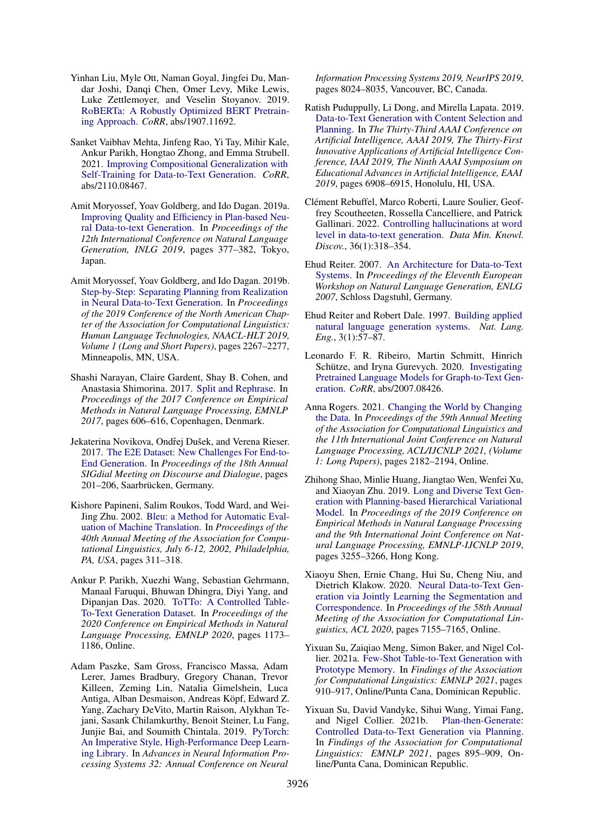- <span id="page-12-4"></span>Yinhan Liu, Myle Ott, Naman Goyal, Jingfei Du, Mandar Joshi, Danqi Chen, Omer Levy, Mike Lewis, Luke Zettlemoyer, and Veselin Stoyanov. 2019. [RoBERTa: A Robustly Optimized BERT Pretrain](http://arxiv.org/abs/1907.11692)[ing Approach.](http://arxiv.org/abs/1907.11692) *CoRR*, abs/1907.11692.
- <span id="page-12-13"></span>Sanket Vaibhav Mehta, Jinfeng Rao, Yi Tay, Mihir Kale, Ankur Parikh, Hongtao Zhong, and Emma Strubell. 2021. [Improving Compositional Generalization with](http://arxiv.org/abs/2110.08467) [Self-Training for Data-to-Text Generation.](http://arxiv.org/abs/2110.08467) *CoRR*, abs/2110.08467.
- <span id="page-12-6"></span>Amit Moryossef, Yoav Goldberg, and Ido Dagan. 2019a. [Improving Quality and Efficiency in Plan-based Neu](https://doi.org/10.18653/v1/W19-8645)[ral Data-to-text Generation.](https://doi.org/10.18653/v1/W19-8645) In *Proceedings of the 12th International Conference on Natural Language Generation, INLG 2019*, pages 377–382, Tokyo, Japan.
- <span id="page-12-7"></span>Amit Moryossef, Yoav Goldberg, and Ido Dagan. 2019b. [Step-by-Step: Separating Planning from Realization](https://doi.org/10.18653/v1/n19-1236) [in Neural Data-to-Text Generation.](https://doi.org/10.18653/v1/n19-1236) In *Proceedings of the 2019 Conference of the North American Chapter of the Association for Computational Linguistics: Human Language Technologies, NAACL-HLT 2019, Volume 1 (Long and Short Papers)*, pages 2267–2277, Minneapolis, MN, USA.
- <span id="page-12-12"></span>Shashi Narayan, Claire Gardent, Shay B. Cohen, and Anastasia Shimorina. 2017. [Split and Rephrase.](https://doi.org/10.18653/v1/d17-1064) In *Proceedings of the 2017 Conference on Empirical Methods in Natural Language Processing, EMNLP 2017*, pages 606–616, Copenhagen, Denmark.
- <span id="page-12-14"></span>Jekaterina Novikova, Ondřej Dušek, and Verena Rieser. 2017. [The E2E Dataset: New Challenges For End-to-](https://doi.org/10.18653/v1/w17-5525)[End Generation.](https://doi.org/10.18653/v1/w17-5525) In *Proceedings of the 18th Annual SIGdial Meeting on Discourse and Dialogue*, pages 201–206, Saarbrücken, Germany.
- <span id="page-12-15"></span>Kishore Papineni, Salim Roukos, Todd Ward, and Wei-Jing Zhu. 2002. [Bleu: a Method for Automatic Eval](https://doi.org/10.3115/1073083.1073135)[uation of Machine Translation.](https://doi.org/10.3115/1073083.1073135) In *Proceedings of the 40th Annual Meeting of the Association for Computational Linguistics, July 6-12, 2002, Philadelphia, PA, USA*, pages 311–318.
- <span id="page-12-16"></span>Ankur P. Parikh, Xuezhi Wang, Sebastian Gehrmann, Manaal Faruqui, Bhuwan Dhingra, Diyi Yang, and Dipanjan Das. 2020. [ToTTo: A Controlled Table-](https://doi.org/10.18653/v1/2020.emnlp-main.89)[To-Text Generation Dataset.](https://doi.org/10.18653/v1/2020.emnlp-main.89) In *Proceedings of the 2020 Conference on Empirical Methods in Natural Language Processing, EMNLP 2020*, pages 1173– 1186, Online.
- <span id="page-12-18"></span>Adam Paszke, Sam Gross, Francisco Massa, Adam Lerer, James Bradbury, Gregory Chanan, Trevor Killeen, Zeming Lin, Natalia Gimelshein, Luca Antiga, Alban Desmaison, Andreas Köpf, Edward Z. Yang, Zachary DeVito, Martin Raison, Alykhan Tejani, Sasank Chilamkurthy, Benoit Steiner, Lu Fang, Junjie Bai, and Soumith Chintala. 2019. [PyTorch:](https://proceedings.neurips.cc/paper/2019/hash/bdbca288fee7f92f2bfa9f7012727740-Abstract.html) [An Imperative Style, High-Performance Deep Learn](https://proceedings.neurips.cc/paper/2019/hash/bdbca288fee7f92f2bfa9f7012727740-Abstract.html)[ing Library.](https://proceedings.neurips.cc/paper/2019/hash/bdbca288fee7f92f2bfa9f7012727740-Abstract.html) In *Advances in Neural Information Processing Systems 32: Annual Conference on Neural*

*Information Processing Systems 2019, NeurIPS 2019*, pages 8024–8035, Vancouver, BC, Canada.

- <span id="page-12-8"></span>Ratish Puduppully, Li Dong, and Mirella Lapata. 2019. [Data-to-Text Generation with Content Selection and](https://doi.org/10.1609/aaai.v33i01.33016908) [Planning.](https://doi.org/10.1609/aaai.v33i01.33016908) In *The Thirty-Third AAAI Conference on Artificial Intelligence, AAAI 2019, The Thirty-First Innovative Applications of Artificial Intelligence Conference, IAAI 2019, The Ninth AAAI Symposium on Educational Advances in Artificial Intelligence, EAAI 2019*, pages 6908–6915, Honolulu, HI, USA.
- <span id="page-12-3"></span>Clément Rebuffel, Marco Roberti, Laure Soulier, Geoffrey Scoutheeten, Rossella Cancelliere, and Patrick Gallinari. 2022. [Controlling hallucinations at word](https://doi.org/10.1007/s10618-021-00801-4) [level in data-to-text generation.](https://doi.org/10.1007/s10618-021-00801-4) *Data Min. Knowl. Discov.*, 36(1):318–354.
- <span id="page-12-5"></span>Ehud Reiter. 2007. [An Architecture for Data-to-Text](https://aclanthology.org/W07-2315/) [Systems.](https://aclanthology.org/W07-2315/) In *Proceedings of the Eleventh European Workshop on Natural Language Generation, ENLG 2007*, Schloss Dagstuhl, Germany.
- <span id="page-12-0"></span>Ehud Reiter and Robert Dale. 1997. [Building applied](https://doi.org/10.1017/S1351324997001502) [natural language generation systems.](https://doi.org/10.1017/S1351324997001502) *Nat. Lang. Eng.*, 3(1):57–87.
- <span id="page-12-1"></span>Leonardo F. R. Ribeiro, Martin Schmitt, Hinrich Schütze, and Iryna Gurevych. 2020. [Investigating](http://arxiv.org/abs/2007.08426) [Pretrained Language Models for Graph-to-Text Gen](http://arxiv.org/abs/2007.08426)[eration.](http://arxiv.org/abs/2007.08426) *CoRR*, abs/2007.08426.
- <span id="page-12-17"></span>Anna Rogers. 2021. [Changing the World by Changing](https://doi.org/10.18653/v1/2021.acl-long.170) [the Data.](https://doi.org/10.18653/v1/2021.acl-long.170) In *Proceedings of the 59th Annual Meeting of the Association for Computational Linguistics and the 11th International Joint Conference on Natural Language Processing, ACL/IJCNLP 2021, (Volume 1: Long Papers)*, pages 2182–2194, Online.
- <span id="page-12-10"></span>Zhihong Shao, Minlie Huang, Jiangtao Wen, Wenfei Xu, and Xiaoyan Zhu. 2019. [Long and Diverse Text Gen](https://doi.org/10.18653/v1/D19-1321)[eration with Planning-based Hierarchical Variational](https://doi.org/10.18653/v1/D19-1321) [Model.](https://doi.org/10.18653/v1/D19-1321) In *Proceedings of the 2019 Conference on Empirical Methods in Natural Language Processing and the 9th International Joint Conference on Natural Language Processing, EMNLP-IJCNLP 2019*, pages 3255–3266, Hong Kong.
- <span id="page-12-11"></span>Xiaoyu Shen, Ernie Chang, Hui Su, Cheng Niu, and Dietrich Klakow. 2020. [Neural Data-to-Text Gen](https://doi.org/10.18653/v1/2020.acl-main.641)[eration via Jointly Learning the Segmentation and](https://doi.org/10.18653/v1/2020.acl-main.641) [Correspondence.](https://doi.org/10.18653/v1/2020.acl-main.641) In *Proceedings of the 58th Annual Meeting of the Association for Computational Linguistics, ACL 2020*, pages 7155–7165, Online.
- <span id="page-12-2"></span>Yixuan Su, Zaiqiao Meng, Simon Baker, and Nigel Collier. 2021a. [Few-Shot Table-to-Text Generation with](https://doi.org/10.18653/v1/2021.findings-emnlp.77) [Prototype Memory.](https://doi.org/10.18653/v1/2021.findings-emnlp.77) In *Findings of the Association for Computational Linguistics: EMNLP 2021*, pages 910–917, Online/Punta Cana, Dominican Republic.
- <span id="page-12-9"></span>Yixuan Su, David Vandyke, Sihui Wang, Yimai Fang, and Nigel Collier. 2021b. [Plan-then-Generate:](https://doi.org/10.18653/v1/2021.findings-emnlp.76) [Controlled Data-to-Text Generation via Planning.](https://doi.org/10.18653/v1/2021.findings-emnlp.76) In *Findings of the Association for Computational Linguistics: EMNLP 2021*, pages 895–909, Online/Punta Cana, Dominican Republic.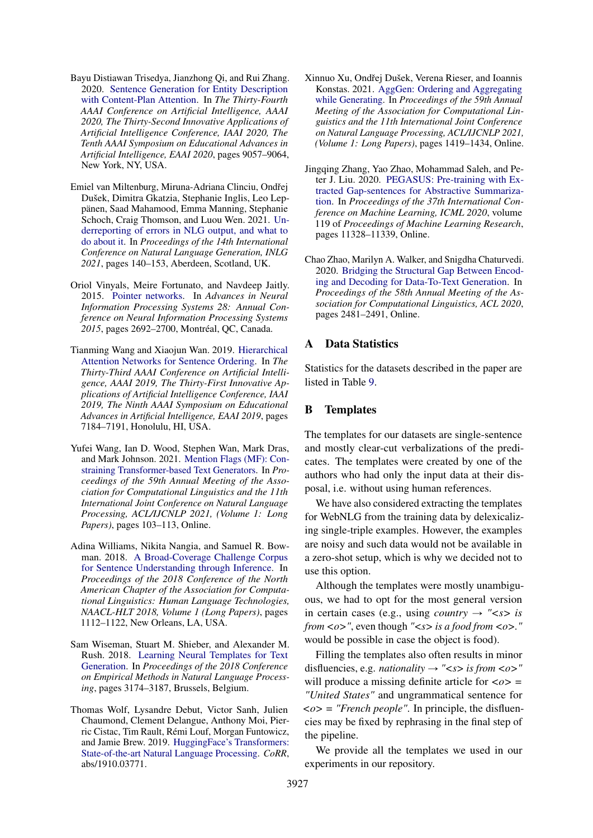- <span id="page-13-1"></span>Bayu Distiawan Trisedya, Jianzhong Qi, and Rui Zhang. 2020. [Sentence Generation for Entity Description](https://ojs.aaai.org/index.php/AAAI/article/view/6439) [with Content-Plan Attention.](https://ojs.aaai.org/index.php/AAAI/article/view/6439) In *The Thirty-Fourth AAAI Conference on Artificial Intelligence, AAAI 2020, The Thirty-Second Innovative Applications of Artificial Intelligence Conference, IAAI 2020, The Tenth AAAI Symposium on Educational Advances in Artificial Intelligence, EAAI 2020*, pages 9057–9064, New York, NY, USA.
- <span id="page-13-10"></span>Emiel van Miltenburg, Miruna-Adriana Clinciu, Ondřej Dušek, Dimitra Gkatzia, Stephanie Inglis, Leo Leppänen, Saad Mahamood, Emma Manning, Stephanie Schoch, Craig Thomson, and Luou Wen. 2021. [Un](https://aclanthology.org/2021.inlg-1.14)[derreporting of errors in NLG output, and what to](https://aclanthology.org/2021.inlg-1.14) [do about it.](https://aclanthology.org/2021.inlg-1.14) In *Proceedings of the 14th International Conference on Natural Language Generation, INLG 2021*, pages 140–153, Aberdeen, Scotland, UK.
- <span id="page-13-3"></span>Oriol Vinyals, Meire Fortunato, and Navdeep Jaitly. 2015. [Pointer networks.](https://proceedings.neurips.cc/paper/2015/hash/29921001f2f04bd3baee84a12e98098f-Abstract.html) In *Advances in Neural Information Processing Systems 28: Annual Conference on Neural Information Processing Systems 2015*, pages 2692–2700, Montréal, QC, Canada.
- <span id="page-13-2"></span>Tianming Wang and Xiaojun Wan. 2019. [Hierarchical](https://doi.org/10.1609/aaai.v33i01.33017184) [Attention Networks for Sentence Ordering.](https://doi.org/10.1609/aaai.v33i01.33017184) In *The Thirty-Third AAAI Conference on Artificial Intelligence, AAAI 2019, The Thirty-First Innovative Applications of Artificial Intelligence Conference, IAAI 2019, The Ninth AAAI Symposium on Educational Advances in Artificial Intelligence, EAAI 2019*, pages 7184–7191, Honolulu, HI, USA.
- <span id="page-13-11"></span>Yufei Wang, Ian D. Wood, Stephen Wan, Mark Dras, and Mark Johnson. 2021. [Mention Flags \(MF\): Con](https://doi.org/10.18653/v1/2021.acl-long.9)[straining Transformer-based Text Generators.](https://doi.org/10.18653/v1/2021.acl-long.9) In *Proceedings of the 59th Annual Meeting of the Association for Computational Linguistics and the 11th International Joint Conference on Natural Language Processing, ACL/IJCNLP 2021, (Volume 1: Long Papers)*, pages 103–113, Online.
- <span id="page-13-8"></span>Adina Williams, Nikita Nangia, and Samuel R. Bowman. 2018. [A Broad-Coverage Challenge Corpus](https://doi.org/10.18653/v1/n18-1101) [for Sentence Understanding through Inference.](https://doi.org/10.18653/v1/n18-1101) In *Proceedings of the 2018 Conference of the North American Chapter of the Association for Computational Linguistics: Human Language Technologies, NAACL-HLT 2018, Volume 1 (Long Papers)*, pages 1112–1122, New Orleans, LA, USA.
- <span id="page-13-4"></span>Sam Wiseman, Stuart M. Shieber, and Alexander M. Rush. 2018. [Learning Neural Templates for Text](https://doi.org/10.18653/v1/d18-1356) [Generation.](https://doi.org/10.18653/v1/d18-1356) In *Proceedings of the 2018 Conference on Empirical Methods in Natural Language Processing*, pages 3174–3187, Brussels, Belgium.
- <span id="page-13-12"></span>Thomas Wolf, Lysandre Debut, Victor Sanh, Julien Chaumond, Clement Delangue, Anthony Moi, Pierric Cistac, Tim Rault, Rémi Louf, Morgan Funtowicz, and Jamie Brew. 2019. [HuggingFace's Transformers:](http://arxiv.org/abs/1910.03771) [State-of-the-art Natural Language Processing.](http://arxiv.org/abs/1910.03771) *CoRR*, abs/1910.03771.
- <span id="page-13-5"></span>Xinnuo Xu, Ondřej Dušek, Verena Rieser, and Ioannis Konstas. 2021. [AggGen: Ordering and Aggregating](https://doi.org/10.18653/v1/2021.acl-long.113) [while Generating.](https://doi.org/10.18653/v1/2021.acl-long.113) In *Proceedings of the 59th Annual Meeting of the Association for Computational Linguistics and the 11th International Joint Conference on Natural Language Processing, ACL/IJCNLP 2021, (Volume 1: Long Papers)*, pages 1419–1434, Online.
- <span id="page-13-6"></span>Jingqing Zhang, Yao Zhao, Mohammad Saleh, and Peter J. Liu. 2020. [PEGASUS: Pre-training with Ex](http://proceedings.mlr.press/v119/zhang20ae.html)[tracted Gap-sentences for Abstractive Summariza](http://proceedings.mlr.press/v119/zhang20ae.html)[tion.](http://proceedings.mlr.press/v119/zhang20ae.html) In *Proceedings of the 37th International Conference on Machine Learning, ICML 2020*, volume 119 of *Proceedings of Machine Learning Research*, pages 11328–11339, Online.
- <span id="page-13-0"></span>Chao Zhao, Marilyn A. Walker, and Snigdha Chaturvedi. 2020. [Bridging the Structural Gap Between Encod](https://doi.org/10.18653/v1/2020.acl-main.224)[ing and Decoding for Data-To-Text Generation.](https://doi.org/10.18653/v1/2020.acl-main.224) In *Proceedings of the 58th Annual Meeting of the Association for Computational Linguistics, ACL 2020*, pages 2481–2491, Online.

# <span id="page-13-7"></span>A Data Statistics

Statistics for the datasets described in the paper are listed in Table [9.](#page-15-0)

# <span id="page-13-9"></span>B Templates

The templates for our datasets are single-sentence and mostly clear-cut verbalizations of the predicates. The templates were created by one of the authors who had only the input data at their disposal, i.e. without using human references.

We have also considered extracting the templates for WebNLG from the training data by delexicalizing single-triple examples. However, the examples are noisy and such data would not be available in a zero-shot setup, which is why we decided not to use this option.

Although the templates were mostly unambiguous, we had to opt for the most general version in certain cases (e.g., using *country*  $\rightarrow$  " $\lt s$  *is from <o>"*, even though *"<s> is a food from <o>."* would be possible in case the object is food).

Filling the templates also often results in minor disfluencies, e.g. *nationality*  $\rightarrow$  " $\lt s$ > *is from*  $\lt o$ >" will produce a missing definite article for  $\langle \omega \rangle$  = *"United States"* and ungrammatical sentence for  $\langle \phi \rangle$  = *"French people"*. In principle, the disfluencies may be fixed by rephrasing in the final step of the pipeline.

We provide all the templates we used in our experiments in our repository.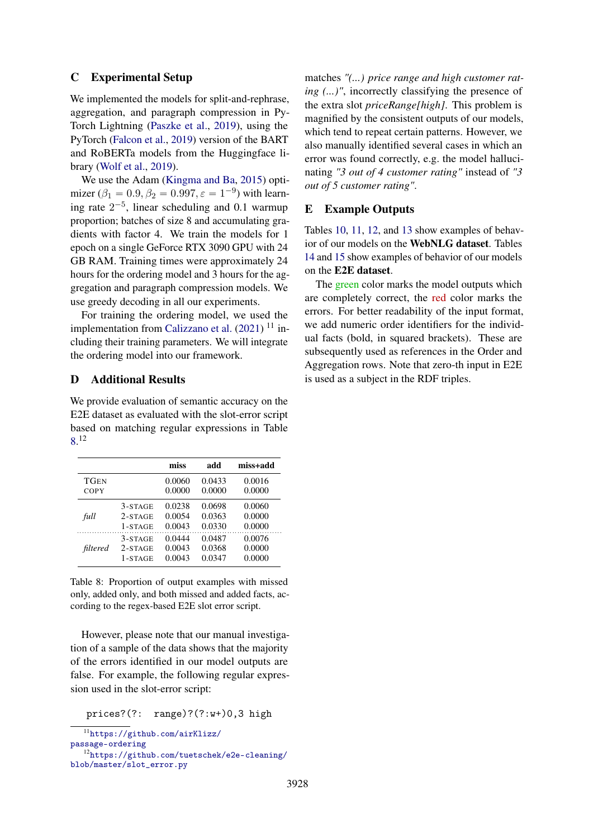## <span id="page-14-0"></span>C Experimental Setup

We implemented the models for split-and-rephrase, aggregation, and paragraph compression in Py-Torch Lightning [\(Paszke et al.,](#page-12-18) [2019\)](#page-12-18), using the PyTorch [\(Falcon et al.,](#page-10-19) [2019\)](#page-10-19) version of the BART and RoBERTa models from the Huggingface library [\(Wolf et al.,](#page-13-12) [2019\)](#page-13-12).

We use the Adam [\(Kingma and Ba,](#page-11-18) [2015\)](#page-11-18) optimizer ( $\beta_1 = 0.9, \beta_2 = 0.997, \epsilon = 1^{-9}$ ) with learning rate  $2^{-5}$ , linear scheduling and 0.1 warmup proportion; batches of size 8 and accumulating gradients with factor 4. We train the models for 1 epoch on a single GeForce RTX 3090 GPU with 24 GB RAM. Training times were approximately 24 hours for the ordering model and 3 hours for the aggregation and paragraph compression models. We use greedy decoding in all our experiments.

For training the ordering model, we used the implementation from [Calizzano et al.](#page-9-2) [\(2021\)](#page-9-2)<sup>11</sup> including their training parameters. We will integrate the ordering model into our framework.

# <span id="page-14-1"></span>D Additional Results

We provide evaluation of semantic accuracy on the E2E dataset as evaluated with the slot-error script based on matching regular expressions in Table [8.](#page-14-3) 12

<span id="page-14-3"></span>

|             |           | miss   | add    | miss+add |
|-------------|-----------|--------|--------|----------|
| <b>TGEN</b> |           | 0.0060 | 0.0433 | 0.0016   |
| COPY        |           | 0.0000 | 0.0000 | 0.0000   |
| full        | $3-STATE$ | 0.0238 | 0.0698 | 0.0060   |
|             | $2-STATE$ | 0.0054 | 0.0363 | 0.0000   |
|             | 1-STAGE   | 0.0043 | 0.0330 | 0.0000   |
| filtered    | 3-STAGE   | 0.0444 | 0.0487 | 0.0076   |
|             | $2-STATE$ | 0.0043 | 0.0368 | 0.0000   |
|             | 1-STAGE   | 0.0043 | 0.0347 | 0.0000   |

Table 8: Proportion of output examples with missed only, added only, and both missed and added facts, according to the regex-based E2E slot error script.

However, please note that our manual investigation of a sample of the data shows that the majority of the errors identified in our model outputs are false. For example, the following regular expression used in the slot-error script:

prices?(?: range)?(?:w+)0,3 high

matches *"(...) price range and high customer rating (...)"*, incorrectly classifying the presence of the extra slot *priceRange[high]*. This problem is magnified by the consistent outputs of our models, which tend to repeat certain patterns. However, we also manually identified several cases in which an error was found correctly, e.g. the model hallucinating *"3 out of 4 customer rating"* instead of *"3 out of 5 customer rating"*.

#### <span id="page-14-2"></span>E Example Outputs

Tables [10,](#page-15-1) [11,](#page-15-2) [12,](#page-16-0) and [13](#page-16-1) show examples of behavior of our models on the WebNLG dataset. Tables [14](#page-17-0) and [15](#page-18-0) show examples of behavior of our models on the E2E dataset.

The green color marks the model outputs which are completely correct, the red color marks the errors. For better readability of the input format, we add numeric order identifiers for the individual facts (bold, in squared brackets). These are subsequently used as references in the Order and Aggregation rows. Note that zero-th input in E2E is used as a subject in the RDF triples.

<sup>11</sup>[https://github.com/airKlizz/](https://github.com/airKlizz/passage-ordering)

[passage-ordering](https://github.com/airKlizz/passage-ordering)

<sup>12</sup>[https://github.com/tuetschek/e2e-cleaning/](https://github.com/tuetschek/e2e-cleaning/blob/master/slot_error.py) [blob/master/slot\\_error.py](https://github.com/tuetschek/e2e-cleaning/blob/master/slot_error.py)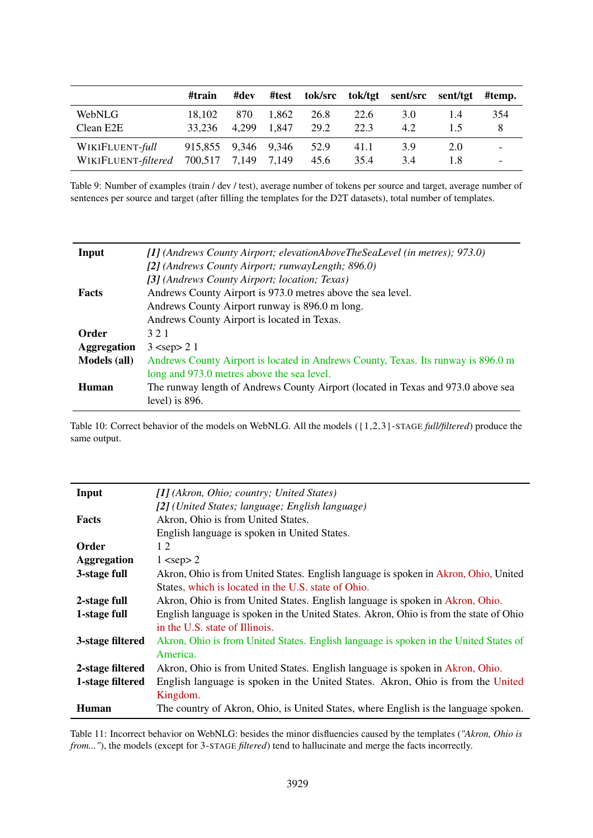<span id="page-15-0"></span>

|                     | #train  | #dev  | #test       |      |      | tok/src tok/tgt sent/src sent/tgt |     | #temp. |
|---------------------|---------|-------|-------------|------|------|-----------------------------------|-----|--------|
| WebNLG              | 18.102  | 870   | 1.862       | 26.8 | 22.6 | 3.0                               | 1.4 | 354    |
| Clean E2E           | 33.236  | 4.299 | 1.847       | 29.2 | 22.3 | 4.2                               |     |        |
| WIKIFLUENT-full     | 915,855 |       | 9,346 9,346 | 52.9 | 41.1 | 3.9                               | 2.0 | -      |
| WIKIFLUENT-filtered | 700,517 | 7,149 | 7,149       | 45.6 | 35.4 | 3.4                               | 1.8 | -      |

Table 9: Number of examples (train / dev / test), average number of tokens per source and target, average number of sentences per source and target (after filling the templates for the D2T datasets), total number of templates.

<span id="page-15-1"></span>

| Input               | $\left[1\right]$ (Andrews County Airport; elevationAboveTheSeaLevel (in metres); 973.0)                |
|---------------------|--------------------------------------------------------------------------------------------------------|
|                     | [2] (Andrews County Airport; runwayLength; 896.0)                                                      |
|                     | [3] (Andrews County Airport; location; Texas)                                                          |
| <b>Facts</b>        | Andrews County Airport is 973.0 metres above the sea level.                                            |
|                     | Andrews County Airport runway is 896.0 m long.                                                         |
|                     | Andrews County Airport is located in Texas.                                                            |
| Order               | 321                                                                                                    |
| <b>Aggregation</b>  | $3$ <sep> 2 1</sep>                                                                                    |
| <b>Models</b> (all) | Andrews County Airport is located in Andrews County, Texas. Its runway is 896.0 m                      |
|                     | long and 973.0 metres above the sea level.                                                             |
| Human               | The runway length of Andrews County Airport (located in Texas and 973.0 above sea<br>level) is $896$ . |
|                     |                                                                                                        |

Table 10: Correct behavior of the models on WebNLG. All the models ({1,2,3}-STAGE *full/filtered*) produce the same output.

<span id="page-15-2"></span>

| Input              | [1] (Akron, Ohio; country; United States)                                              |
|--------------------|----------------------------------------------------------------------------------------|
|                    | [2] (United States; language; English language)                                        |
| <b>Facts</b>       | Akron, Ohio is from United States.                                                     |
|                    | English language is spoken in United States.                                           |
| Order              | 12                                                                                     |
| <b>Aggregation</b> | $1$ <sep> 2</sep>                                                                      |
| 3-stage full       | Akron, Ohio is from United States. English language is spoken in Akron, Ohio, United   |
|                    | States, which is located in the U.S. state of Ohio.                                    |
| 2-stage full       | Akron, Ohio is from United States. English language is spoken in Akron, Ohio.          |
| 1-stage full       | English language is spoken in the United States. Akron, Ohio is from the state of Ohio |
|                    | in the U.S. state of Illinois.                                                         |
| 3-stage filtered   | Akron, Ohio is from United States. English language is spoken in the United States of  |
|                    | America.                                                                               |
| 2-stage filtered   | Akron, Ohio is from United States. English language is spoken in Akron, Ohio.          |
| 1-stage filtered   | English language is spoken in the United States. Akron, Ohio is from the United        |
|                    | Kingdom.                                                                               |
| Human              | The country of Akron, Ohio, is United States, where English is the language spoken.    |

Table 11: Incorrect behavior on WebNLG: besides the minor disfluencies caused by the templates (*"Akron, Ohio is from..."*), the models (except for 3-STAGE *filtered*) tend to hallucinate and merge the facts incorrectly.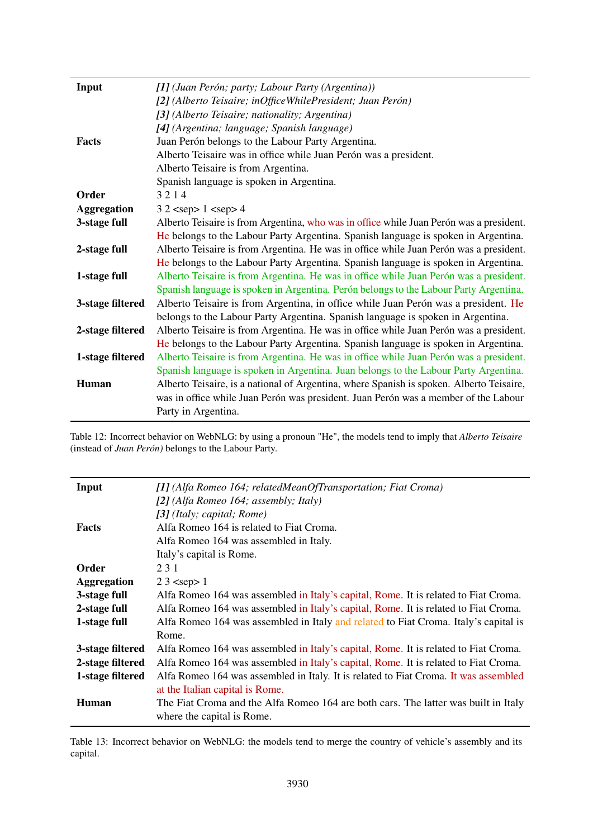| Input              | [1] (Juan Perón; party; Labour Party (Argentina))                                        |
|--------------------|------------------------------------------------------------------------------------------|
|                    | [2] (Alberto Teisaire; inOfficeWhilePresident; Juan Perón)                               |
|                    | [3] (Alberto Teisaire; nationality; Argentina)                                           |
|                    | [4] (Argentina; language; Spanish language)                                              |
| <b>Facts</b>       | Juan Perón belongs to the Labour Party Argentina.                                        |
|                    | Alberto Teisaire was in office while Juan Perón was a president.                         |
|                    | Alberto Teisaire is from Argentina.                                                      |
|                    | Spanish language is spoken in Argentina.                                                 |
| <b>Order</b>       | 3214                                                                                     |
| <b>Aggregation</b> | $32$ <sep> <math>1</math> <sep> 4</sep></sep>                                            |
| 3-stage full       | Alberto Teisaire is from Argentina, who was in office while Juan Perón was a president.  |
|                    | He belongs to the Labour Party Argentina. Spanish language is spoken in Argentina.       |
| 2-stage full       | Alberto Teisaire is from Argentina. He was in office while Juan Perón was a president.   |
|                    | He belongs to the Labour Party Argentina. Spanish language is spoken in Argentina.       |
| 1-stage full       | Alberto Teisaire is from Argentina. He was in office while Juan Perón was a president.   |
|                    | Spanish language is spoken in Argentina. Perón belongs to the Labour Party Argentina.    |
| 3-stage filtered   | Alberto Teisaire is from Argentina, in office while Juan Perón was a president. He       |
|                    | belongs to the Labour Party Argentina. Spanish language is spoken in Argentina.          |
| 2-stage filtered   | Alberto Teisaire is from Argentina. He was in office while Juan Perón was a president.   |
|                    | He belongs to the Labour Party Argentina. Spanish language is spoken in Argentina.       |
| 1-stage filtered   | Alberto Teisaire is from Argentina. He was in office while Juan Perón was a president.   |
|                    | Spanish language is spoken in Argentina. Juan belongs to the Labour Party Argentina.     |
| Human              | Alberto Teisaire, is a national of Argentina, where Spanish is spoken. Alberto Teisaire, |
|                    | was in office while Juan Perón was president. Juan Perón was a member of the Labour      |
|                    | Party in Argentina.                                                                      |

<span id="page-16-0"></span> $\overline{a}$ 

Table 12: Incorrect behavior on WebNLG: by using a pronoun "He", the models tend to imply that *Alberto Teisaire* (instead of *Juan Perón)* belongs to the Labour Party.

<span id="page-16-1"></span>

| Input              | [1] (Alfa Romeo 164; relatedMeanOfTransportation; Fiat Croma)                        |
|--------------------|--------------------------------------------------------------------------------------|
|                    | [2] (Alfa Romeo 164; assembly; Italy)                                                |
|                    | [3] (Italy; capital; Rome)                                                           |
| <b>Facts</b>       | Alfa Romeo 164 is related to Fiat Croma.                                             |
|                    | Alfa Romeo 164 was assembled in Italy.                                               |
|                    | Italy's capital is Rome.                                                             |
| Order              | 231                                                                                  |
| <b>Aggregation</b> | $23$ <sep> 1</sep>                                                                   |
| 3-stage full       | Alfa Romeo 164 was assembled in Italy's capital, Rome. It is related to Fiat Croma.  |
| 2-stage full       | Alfa Romeo 164 was assembled in Italy's capital, Rome. It is related to Fiat Croma.  |
| 1-stage full       | Alfa Romeo 164 was assembled in Italy and related to Fiat Croma. Italy's capital is  |
|                    | Rome.                                                                                |
| 3-stage filtered   | Alfa Romeo 164 was assembled in Italy's capital, Rome. It is related to Fiat Croma.  |
| 2-stage filtered   | Alfa Romeo 164 was assembled in Italy's capital, Rome. It is related to Fiat Croma.  |
| 1-stage filtered   | Alfa Romeo 164 was assembled in Italy. It is related to Fiat Croma. It was assembled |
|                    | at the Italian capital is Rome.                                                      |
| <b>Human</b>       | The Fiat Croma and the Alfa Romeo 164 are both cars. The latter was built in Italy   |
|                    | where the capital is Rome.                                                           |

Table 13: Incorrect behavior on WebNLG: the models tend to merge the country of vehicle's assembly and its capital.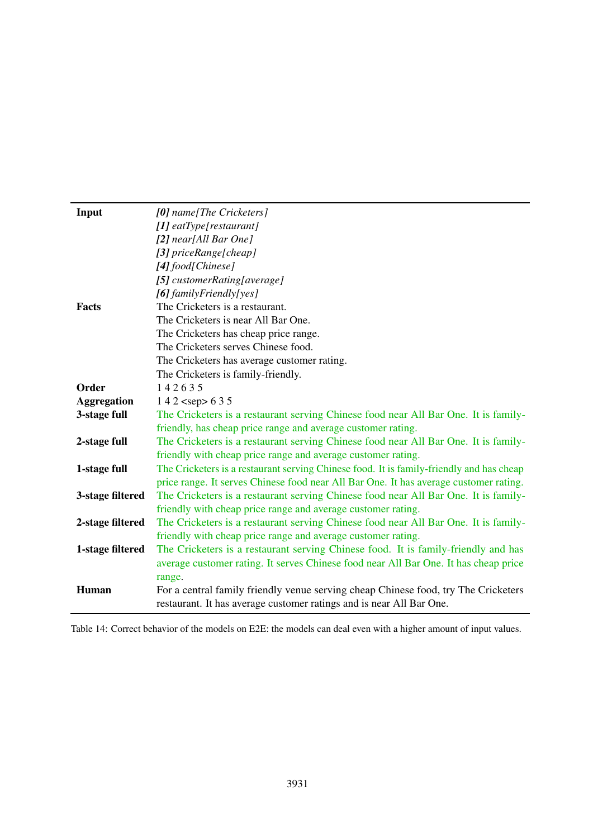<span id="page-17-0"></span>

| Input              | [0] name[The Cricketers]                                                                 |
|--------------------|------------------------------------------------------------------------------------------|
|                    | $[1]$ eatType[restaurant]                                                                |
|                    | [2] near[All Bar One]                                                                    |
|                    | [3] $priceRange[cheap]$                                                                  |
|                    | [4] food[Chinese]                                                                        |
|                    | [5] customerRating[average]                                                              |
|                    | [6] family Friendly [yes]                                                                |
| <b>Facts</b>       | The Cricketers is a restaurant.                                                          |
|                    | The Cricketers is near All Bar One.                                                      |
|                    | The Cricketers has cheap price range.                                                    |
|                    | The Cricketers serves Chinese food.                                                      |
|                    | The Cricketers has average customer rating.                                              |
|                    | The Cricketers is family-friendly.                                                       |
| Order              | 142635                                                                                   |
| <b>Aggregation</b> | $142$ <sep> 6 3 5</sep>                                                                  |
| 3-stage full       | The Cricketers is a restaurant serving Chinese food near All Bar One. It is family-      |
|                    | friendly, has cheap price range and average customer rating.                             |
| 2-stage full       | The Cricketers is a restaurant serving Chinese food near All Bar One. It is family-      |
|                    | friendly with cheap price range and average customer rating.                             |
| 1-stage full       | The Cricketers is a restaurant serving Chinese food. It is family-friendly and has cheap |
|                    | price range. It serves Chinese food near All Bar One. It has average customer rating.    |
| 3-stage filtered   | The Cricketers is a restaurant serving Chinese food near All Bar One. It is family-      |
|                    | friendly with cheap price range and average customer rating.                             |
| 2-stage filtered   | The Cricketers is a restaurant serving Chinese food near All Bar One. It is family-      |
|                    | friendly with cheap price range and average customer rating.                             |
| 1-stage filtered   | The Cricketers is a restaurant serving Chinese food. It is family-friendly and has       |
|                    | average customer rating. It serves Chinese food near All Bar One. It has cheap price     |
|                    | range.                                                                                   |
| <b>Human</b>       | For a central family friendly venue serving cheap Chinese food, try The Cricketers       |
|                    | restaurant. It has average customer ratings and is near All Bar One.                     |

Table 14: Correct behavior of the models on E2E: the models can deal even with a higher amount of input values.